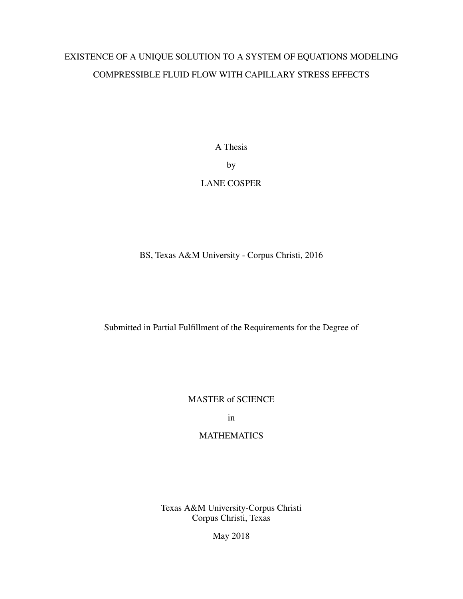# EXISTENCE OF A UNIQUE SOLUTION TO A SYSTEM OF EQUATIONS MODELING COMPRESSIBLE FLUID FLOW WITH CAPILLARY STRESS EFFECTS

A Thesis by LANE COSPER

BS, Texas A&M University - Corpus Christi, 2016

Submitted in Partial Fulfillment of the Requirements for the Degree of

MASTER of SCIENCE

in

# **MATHEMATICS**

Texas A&M University-Corpus Christi Corpus Christi, Texas

May 2018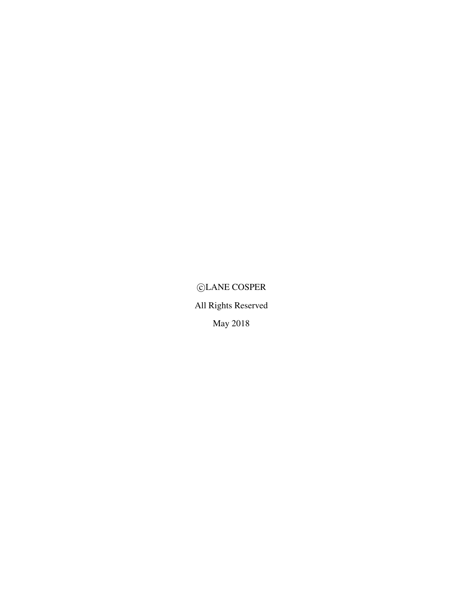$\bigcirc$ LANE COSPER All Rights Reserved May 2018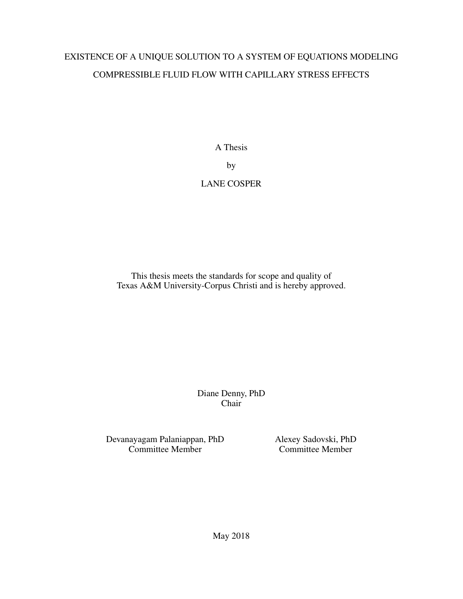# EXISTENCE OF A UNIQUE SOLUTION TO A SYSTEM OF EQUATIONS MODELING COMPRESSIBLE FLUID FLOW WITH CAPILLARY STRESS EFFECTS

A Thesis by LANE COSPER

This thesis meets the standards for scope and quality of Texas A&M University-Corpus Christi and is hereby approved.

> Diane Denny, PhD Chair

Devanayagam Palaniappan, PhD Alexey Sadovski, PhD

Committee Member Committee Member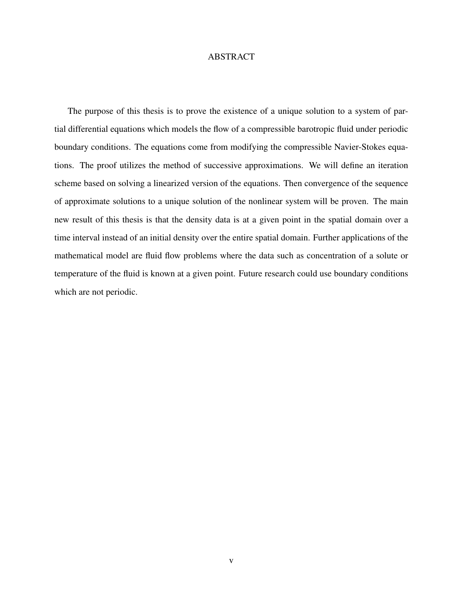# ABSTRACT

The purpose of this thesis is to prove the existence of a unique solution to a system of partial differential equations which models the flow of a compressible barotropic fluid under periodic boundary conditions. The equations come from modifying the compressible Navier-Stokes equations. The proof utilizes the method of successive approximations. We will define an iteration scheme based on solving a linearized version of the equations. Then convergence of the sequence of approximate solutions to a unique solution of the nonlinear system will be proven. The main new result of this thesis is that the density data is at a given point in the spatial domain over a time interval instead of an initial density over the entire spatial domain. Further applications of the mathematical model are fluid flow problems where the data such as concentration of a solute or temperature of the fluid is known at a given point. Future research could use boundary conditions which are not periodic.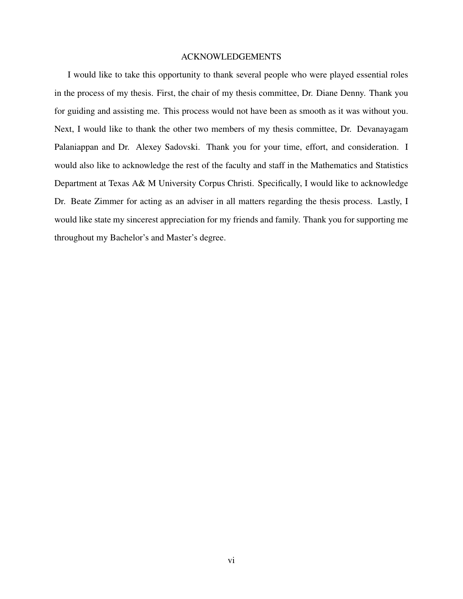## ACKNOWLEDGEMENTS

I would like to take this opportunity to thank several people who were played essential roles in the process of my thesis. First, the chair of my thesis committee, Dr. Diane Denny. Thank you for guiding and assisting me. This process would not have been as smooth as it was without you. Next, I would like to thank the other two members of my thesis committee, Dr. Devanayagam Palaniappan and Dr. Alexey Sadovski. Thank you for your time, effort, and consideration. I would also like to acknowledge the rest of the faculty and staff in the Mathematics and Statistics Department at Texas A& M University Corpus Christi. Specifically, I would like to acknowledge Dr. Beate Zimmer for acting as an adviser in all matters regarding the thesis process. Lastly, I would like state my sincerest appreciation for my friends and family. Thank you for supporting me throughout my Bachelor's and Master's degree.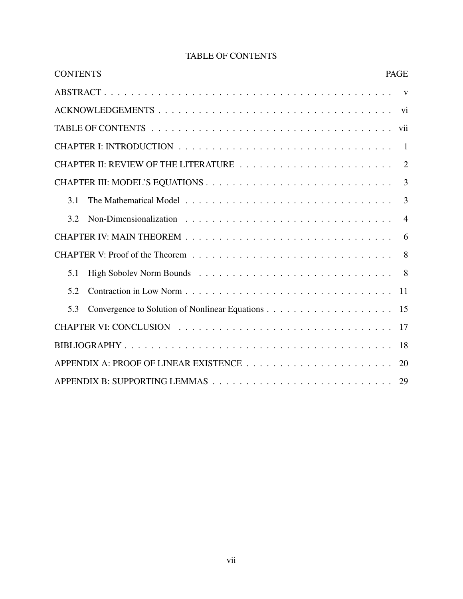| <b>CONTENTS</b><br><b>PAGE</b> |                |
|--------------------------------|----------------|
|                                |                |
|                                |                |
|                                |                |
|                                |                |
|                                |                |
|                                | $\overline{3}$ |
| 3.1                            | 3              |
| 3.2                            | $\overline{4}$ |
|                                | 6              |
|                                | 8              |
| 5.1                            |                |
| 5.2                            | <sup>11</sup>  |
| 5.3                            |                |
|                                |                |
|                                | 18             |
|                                | 20             |
|                                |                |

# TABLE OF CONTENTS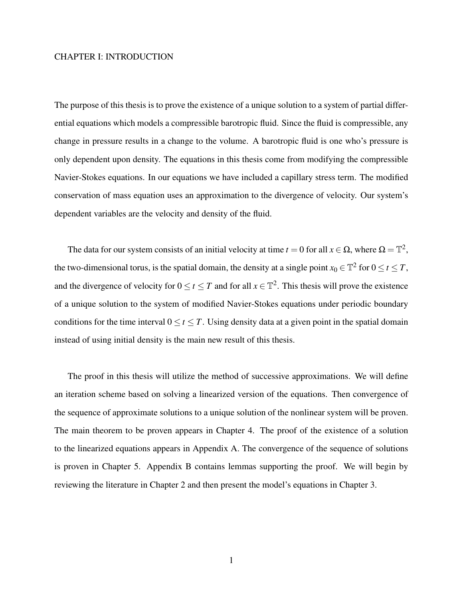# CHAPTER I: INTRODUCTION

The purpose of this thesis is to prove the existence of a unique solution to a system of partial differential equations which models a compressible barotropic fluid. Since the fluid is compressible, any change in pressure results in a change to the volume. A barotropic fluid is one who's pressure is only dependent upon density. The equations in this thesis come from modifying the compressible Navier-Stokes equations. In our equations we have included a capillary stress term. The modified conservation of mass equation uses an approximation to the divergence of velocity. Our system's dependent variables are the velocity and density of the fluid.

The data for our system consists of an initial velocity at time  $t = 0$  for all  $x \in \Omega$ , where  $\Omega = \mathbb{T}^2$ , the two-dimensional torus, is the spatial domain, the density at a single point  $x_0 \in \mathbb{T}^2$  for  $0 \le t \le T$ , and the divergence of velocity for  $0 \le t \le T$  and for all  $x \in \mathbb{T}^2$ . This thesis will prove the existence of a unique solution to the system of modified Navier-Stokes equations under periodic boundary conditions for the time interval  $0 \le t \le T$ . Using density data at a given point in the spatial domain instead of using initial density is the main new result of this thesis.

The proof in this thesis will utilize the method of successive approximations. We will define an iteration scheme based on solving a linearized version of the equations. Then convergence of the sequence of approximate solutions to a unique solution of the nonlinear system will be proven. The main theorem to be proven appears in Chapter 4. The proof of the existence of a solution to the linearized equations appears in Appendix A. The convergence of the sequence of solutions is proven in Chapter 5. Appendix B contains lemmas supporting the proof. We will begin by reviewing the literature in Chapter 2 and then present the model's equations in Chapter 3.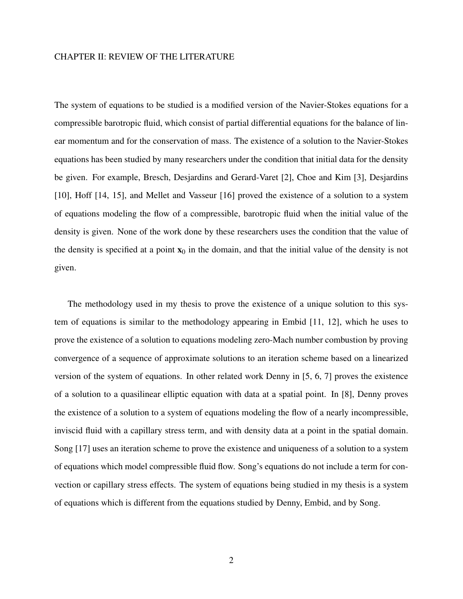## CHAPTER II: REVIEW OF THE LITERATURE

The system of equations to be studied is a modified version of the Navier-Stokes equations for a compressible barotropic fluid, which consist of partial differential equations for the balance of linear momentum and for the conservation of mass. The existence of a solution to the Navier-Stokes equations has been studied by many researchers under the condition that initial data for the density be given. For example, Bresch, Desjardins and Gerard-Varet [2], Choe and Kim [3], Desjardins [10], Hoff [14, 15], and Mellet and Vasseur [16] proved the existence of a solution to a system of equations modeling the flow of a compressible, barotropic fluid when the initial value of the density is given. None of the work done by these researchers uses the condition that the value of the density is specified at a point  $x_0$  in the domain, and that the initial value of the density is not given.

The methodology used in my thesis to prove the existence of a unique solution to this system of equations is similar to the methodology appearing in Embid [11, 12], which he uses to prove the existence of a solution to equations modeling zero-Mach number combustion by proving convergence of a sequence of approximate solutions to an iteration scheme based on a linearized version of the system of equations. In other related work Denny in [5, 6, 7] proves the existence of a solution to a quasilinear elliptic equation with data at a spatial point. In [8], Denny proves the existence of a solution to a system of equations modeling the flow of a nearly incompressible, inviscid fluid with a capillary stress term, and with density data at a point in the spatial domain. Song [17] uses an iteration scheme to prove the existence and uniqueness of a solution to a system of equations which model compressible fluid flow. Song's equations do not include a term for convection or capillary stress effects. The system of equations being studied in my thesis is a system of equations which is different from the equations studied by Denny, Embid, and by Song.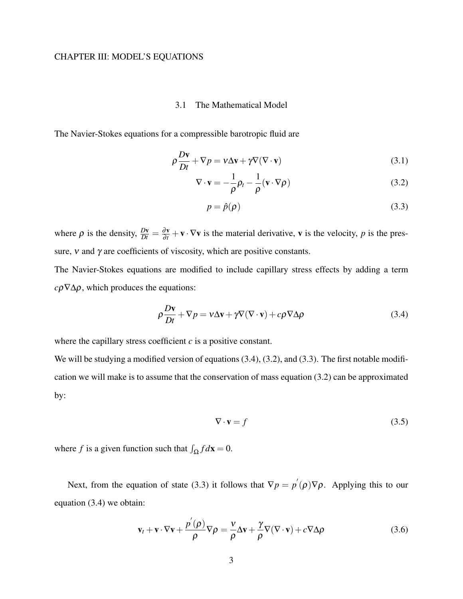# CHAPTER III: MODEL'S EQUATIONS

# 3.1 The Mathematical Model

The Navier-Stokes equations for a compressible barotropic fluid are

$$
\rho \frac{D\mathbf{v}}{Dt} + \nabla p = \mathbf{v}\Delta \mathbf{v} + \gamma \nabla (\nabla \cdot \mathbf{v})
$$
\n(3.1)

$$
\nabla \cdot \mathbf{v} = -\frac{1}{\rho} \rho_t - \frac{1}{\rho} (\mathbf{v} \cdot \nabla \rho)
$$
 (3.2)

$$
p = \hat{p}(\rho) \tag{3.3}
$$

where  $\rho$  is the density,  $\frac{D\mathbf{v}}{Dt} = \frac{\partial \mathbf{v}}{\partial t} + \mathbf{v} \cdot \nabla \mathbf{v}$  is the material derivative, **v** is the velocity, *p* is the pressure,  $\nu$  and  $\gamma$  are coefficients of viscosity, which are positive constants.

The Navier-Stokes equations are modified to include capillary stress effects by adding a term  $c\rho \nabla \Delta \rho$ , which produces the equations:

$$
\rho \frac{D\mathbf{v}}{Dt} + \nabla p = \mathbf{v}\Delta \mathbf{v} + \gamma \nabla (\nabla \cdot \mathbf{v}) + c\rho \nabla \Delta \rho
$$
\n(3.4)

where the capillary stress coefficient *c* is a positive constant.

We will be studying a modified version of equations (3.4), (3.2), and (3.3). The first notable modification we will make is to assume that the conservation of mass equation (3.2) can be approximated by:

$$
\nabla \cdot \mathbf{v} = f \tag{3.5}
$$

where *f* is a given function such that  $\int_{\Omega} f d\mathbf{x} = 0$ .

Next, from the equation of state (3.3) it follows that  $\nabla p = p'(\rho)\nabla \rho$ . Applying this to our equation (3.4) we obtain:

$$
\mathbf{v}_{t} + \mathbf{v} \cdot \nabla \mathbf{v} + \frac{p'(\rho)}{\rho} \nabla \rho = \frac{\nu}{\rho} \Delta \mathbf{v} + \frac{\gamma}{\rho} \nabla (\nabla \cdot \mathbf{v}) + c \nabla \Delta \rho
$$
 (3.6)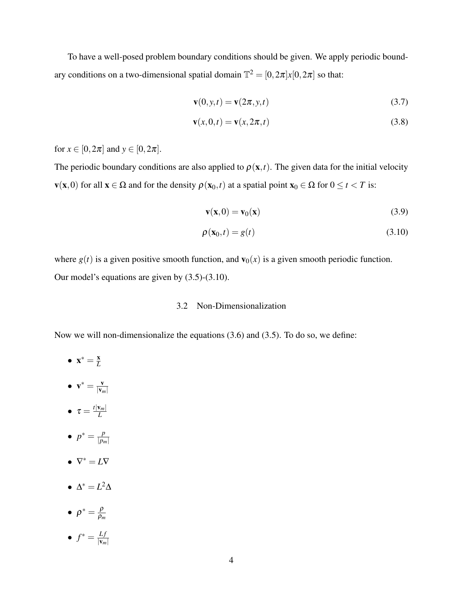To have a well-posed problem boundary conditions should be given. We apply periodic boundary conditions on a two-dimensional spatial domain  $\mathbb{T}^2 = [0, 2\pi]x[0, 2\pi]$  so that:

$$
\mathbf{v}(0, y, t) = \mathbf{v}(2\pi, y, t) \tag{3.7}
$$

$$
\mathbf{v}(x,0,t) = \mathbf{v}(x,2\pi,t) \tag{3.8}
$$

for  $x \in [0, 2\pi]$  and  $y \in [0, 2\pi]$ .

The periodic boundary conditions are also applied to  $\rho(\mathbf{x},t)$ . The given data for the initial velocity  $\mathbf{v}(\mathbf{x},0)$  for all  $\mathbf{x} \in \Omega$  and for the density  $\rho(\mathbf{x}_0,t)$  at a spatial point  $\mathbf{x}_0 \in \Omega$  for  $0 \le t < T$  is:

$$
\mathbf{v}(\mathbf{x},0) = \mathbf{v}_0(\mathbf{x}) \tag{3.9}
$$

$$
\rho(\mathbf{x}_0, t) = g(t) \tag{3.10}
$$

where  $g(t)$  is a given positive smooth function, and  $\mathbf{v}_0(x)$  is a given smooth periodic function. Our model's equations are given by (3.5)-(3.10).

# 3.2 Non-Dimensionalization

Now we will non-dimensionalize the equations (3.6) and (3.5). To do so, we define:

- $\mathbf{x}^* = \frac{\mathbf{x}}{L}$ *L*
- $\mathbf{v}^* = \frac{\mathbf{v}}{|\mathbf{v}|}$  $|\mathbf{v}_m|$
- $\bullet \ \tau = \frac{t|v_m|}{L}$ *L*
- $p^* = \frac{p}{p}$ |*pm*|
- $\nabla^* = L\nabla$
- $\Delta^* = L^2 \Delta$
- $\rho^* = \frac{\rho}{\rho_r}$ ρ*m*
- $\bullet$   $f^* = \frac{Lf}{|V|}$  $|\mathbf{v}_m|$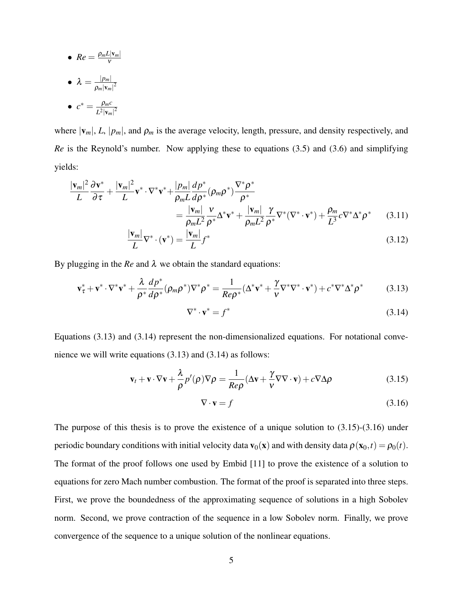• 
$$
Re = \frac{\rho_m L |v_m|}{v}
$$

 $\bullet$   $\lambda = \frac{|p_m|}{2 |N|}$  $\overline{\rho_m |{\bf v}_m|}^2$ 

$$
\bullet \ \ c^* = \frac{\rho_m c}{L^2 |\mathbf{v}_m|^2}
$$

where  $|v_m|$ , *L*,  $|p_m|$ , and  $\rho_m$  is the average velocity, length, pressure, and density respectively, and *Re* is the Reynold's number. Now applying these to equations (3.5) and (3.6) and simplifying yields:

$$
\frac{|\mathbf{v}_{m}|^{2}}{L} \frac{\partial \mathbf{v}^{*}}{\partial \tau} + \frac{|\mathbf{v}_{m}|^{2}}{L} \mathbf{v}^{*} \cdot \nabla^{*} \mathbf{v}^{*} + \frac{|p_{m}|}{\rho_{m} L} \frac{dp^{*}}{dp^{*}} (\rho_{m} \rho^{*}) \frac{\nabla^{*} \rho^{*}}{\rho^{*}} \n= \frac{|\mathbf{v}_{m}|}{\rho_{m} L^{2}} \frac{\nu}{\rho^{*}} \Delta^{*} \mathbf{v}^{*} + \frac{|\mathbf{v}_{m}|}{\rho_{m} L^{2}} \frac{\gamma}{\rho^{*}} \nabla^{*} (\nabla^{*} \cdot \mathbf{v}^{*}) + \frac{\rho_{m}}{L^{3}} c \nabla^{*} \Delta^{*} \rho^{*} \qquad (3.11)
$$

$$
\frac{|\mathbf{v}_m|}{L}\nabla^* \cdot (\mathbf{v}^*) = \frac{|\mathbf{v}_m|}{L} f^*
$$
\n(3.12)

By plugging in the  $Re$  and  $\lambda$  we obtain the standard equations:

$$
\mathbf{v}_{\tau}^* + \mathbf{v}^* \cdot \nabla^* \mathbf{v}^* + \frac{\lambda}{\rho^*} \frac{dp^*}{d\rho^*} (\rho_m \rho^*) \nabla^* \rho^* = \frac{1}{Re\rho^*} (\Delta^* \mathbf{v}^* + \frac{\gamma}{\nu} \nabla^* \nabla^* \cdot \mathbf{v}^*) + c^* \nabla^* \Delta^* \rho^* \tag{3.13}
$$

$$
\nabla^* \cdot \mathbf{v}^* = f^* \tag{3.14}
$$

Equations (3.13) and (3.14) represent the non-dimensionalized equations. For notational convenience we will write equations (3.13) and (3.14) as follows:

$$
\mathbf{v}_t + \mathbf{v} \cdot \nabla \mathbf{v} + \frac{\lambda}{\rho} p'(\rho) \nabla \rho = \frac{1}{Re\rho} (\Delta \mathbf{v} + \frac{\gamma}{\nu} \nabla \nabla \cdot \mathbf{v}) + c \nabla \Delta \rho
$$
 (3.15)

$$
\nabla \cdot \mathbf{v} = f \tag{3.16}
$$

The purpose of this thesis is to prove the existence of a unique solution to (3.15)-(3.16) under periodic boundary conditions with initial velocity data  $\mathbf{v}_0(\mathbf{x})$  and with density data  $\rho(\mathbf{x}_0,t) = \rho_0(t)$ . The format of the proof follows one used by Embid [11] to prove the existence of a solution to equations for zero Mach number combustion. The format of the proof is separated into three steps. First, we prove the boundedness of the approximating sequence of solutions in a high Sobolev norm. Second, we prove contraction of the sequence in a low Sobolev norm. Finally, we prove convergence of the sequence to a unique solution of the nonlinear equations.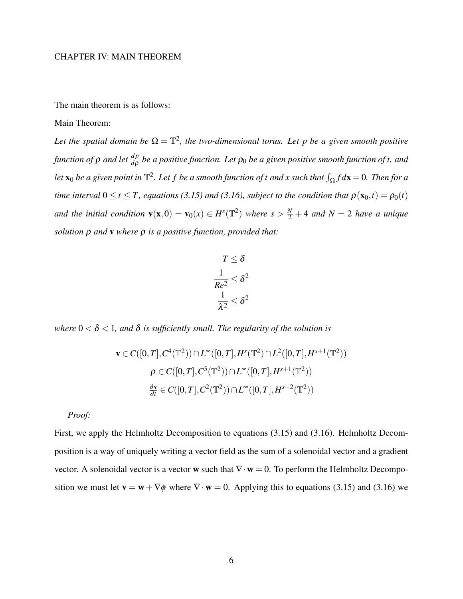# CHAPTER IV: MAIN THEOREM

The main theorem is as follows:

## Main Theorem:

Let the spatial domain be  $\Omega = \mathbb{T}^2$ , the two-dimensional torus. Let p be a given smooth positive function of  $\rho$  and let  $\frac{dp}{d\rho}$  be a positive function. Let  $\rho_0$  be a given positive smooth function of t, and let  $\mathbf{x}_0$  be a given point in  $\mathbb{T}^2$ . Let  $f$  be a smooth function of  $t$  and  $x$  such that  $\int_\Omega f d\mathbf{x} = 0$ . Then for a *time interval*  $0 \le t \le T$ , equations (3.15) and (3.16), subject to the condition that  $\rho(\mathbf{x}_0,t) = \rho_0(t)$ *and the initial condition*  $\mathbf{v}(\mathbf{x},0) = \mathbf{v}_0(x) \in H^s(\mathbb{T}^2)$  where  $s > \frac{N}{2} + 4$  *and*  $N = 2$  *have a unique solution* ρ *and* v *where* ρ *is a positive function, provided that:*

$$
T \leq \delta
$$

$$
\frac{1}{Re^2} \leq \delta^2
$$

$$
\frac{1}{\lambda^2} \leq \delta^2
$$

*where* 0 < δ < 1*, and* δ *is sufficiently small. The regularity of the solution is*

$$
\mathbf{v} \in C([0, T], C^4(\mathbb{T}^2)) \cap L^{\infty}([0, T], H^s(\mathbb{T}^2) \cap L^2([0, T], H^{s+1}(\mathbb{T}^2))
$$
  

$$
\rho \in C([0, T], C^5(\mathbb{T}^2)) \cap L^{\infty}([0, T], H^{s+1}(\mathbb{T}^2))
$$
  

$$
\frac{\partial \mathbf{v}}{\partial t} \in C([0, T], C^2(\mathbb{T}^2)) \cap L^{\infty}([0, T], H^{s-2}(\mathbb{T}^2))
$$

*Proof:*

First, we apply the Helmholtz Decomposition to equations (3.15) and (3.16). Helmholtz Decomposition is a way of uniquely writing a vector field as the sum of a solenoidal vector and a gradient vector. A solenoidal vector is a vector w such that  $\nabla \cdot \mathbf{w} = 0$ . To perform the Helmholtz Decomposition we must let  $\mathbf{v} = \mathbf{w} + \nabla \phi$  where  $\nabla \cdot \mathbf{w} = 0$ . Applying this to equations (3.15) and (3.16) we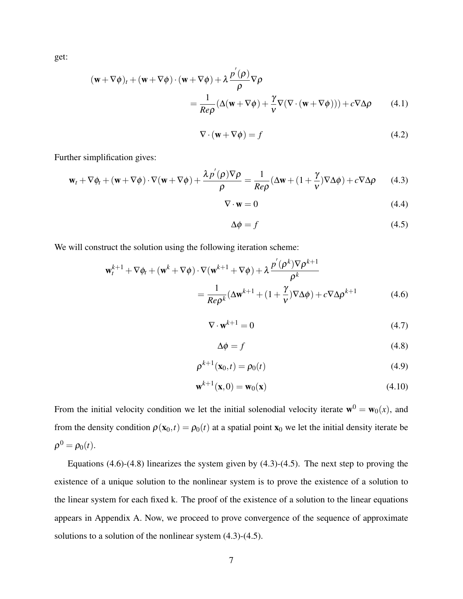get:

$$
(\mathbf{w} + \nabla \phi)_t + (\mathbf{w} + \nabla \phi) \cdot (\mathbf{w} + \nabla \phi) + \lambda \frac{p'(\rho)}{\rho} \nabla \rho
$$
  
= 
$$
\frac{1}{Re\rho} (\Delta(\mathbf{w} + \nabla \phi) + \frac{\gamma}{\nu} \nabla (\nabla \cdot (\mathbf{w} + \nabla \phi))) + c \nabla \Delta \rho
$$
 (4.1)

$$
\nabla \cdot (\mathbf{w} + \nabla \phi) = f \tag{4.2}
$$

Further simplification gives:

$$
\mathbf{w}_t + \nabla \phi_t + (\mathbf{w} + \nabla \phi) \cdot \nabla (\mathbf{w} + \nabla \phi) + \frac{\lambda p'(\rho) \nabla \rho}{\rho} = \frac{1}{\text{Re}\rho} (\Delta \mathbf{w} + (1 + \frac{\gamma}{\nu}) \nabla \Delta \phi) + c \nabla \Delta \rho \tag{4.3}
$$

$$
\nabla \cdot \mathbf{w} = 0 \tag{4.4}
$$

$$
\Delta \phi = f \tag{4.5}
$$

We will construct the solution using the following iteration scheme:

$$
\mathbf{w}_{t}^{k+1} + \nabla \phi_{t} + (\mathbf{w}^{k} + \nabla \phi) \cdot \nabla (\mathbf{w}^{k+1} + \nabla \phi) + \lambda \frac{p^{'}(\rho^{k}) \nabla \rho^{k+1}}{\rho^{k}}
$$
  
= 
$$
\frac{1}{\text{Re}\rho^{k}} (\Delta \mathbf{w}^{k+1} + (1 + \frac{\gamma}{\nu}) \nabla \Delta \phi) + c \nabla \Delta \rho^{k+1}
$$
(4.6)

$$
\nabla \cdot \mathbf{w}^{k+1} = 0 \tag{4.7}
$$

$$
\Delta \phi = f \tag{4.8}
$$

$$
\rho^{k+1}(\mathbf{x}_0, t) = \rho_0(t) \tag{4.9}
$$

$$
\mathbf{w}^{k+1}(\mathbf{x},0) = \mathbf{w}_0(\mathbf{x})
$$
\n(4.10)

From the initial velocity condition we let the initial solenodial velocity iterate  $\mathbf{w}^0 = \mathbf{w}_0(x)$ , and from the density condition  $\rho(\mathbf{x}_0,t) = \rho_0(t)$  at a spatial point  $\mathbf{x}_0$  we let the initial density iterate be  $\rho^0 = \rho_0(t)$ .

Equations  $(4.6)-(4.8)$  linearizes the system given by  $(4.3)-(4.5)$ . The next step to proving the existence of a unique solution to the nonlinear system is to prove the existence of a solution to the linear system for each fixed k. The proof of the existence of a solution to the linear equations appears in Appendix A. Now, we proceed to prove convergence of the sequence of approximate solutions to a solution of the nonlinear system (4.3)-(4.5).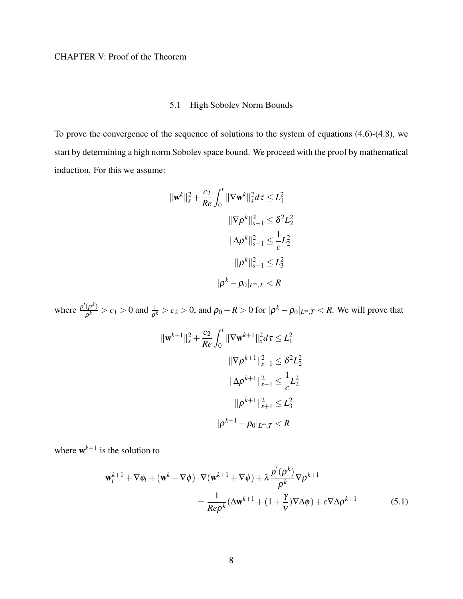# 5.1 High Sobolev Norm Bounds

To prove the convergence of the sequence of solutions to the system of equations (4.6)-(4.8), we start by determining a high norm Sobolev space bound. We proceed with the proof by mathematical induction. For this we assume:

$$
\|\mathbf{w}^{k}\|_{s}^{2} + \frac{c_{2}}{Re} \int_{0}^{t} \|\nabla \mathbf{w}^{k}\|_{s}^{2} d\tau \leq L_{1}^{2}
$$

$$
\|\nabla \rho^{k}\|_{s-1}^{2} \leq \delta^{2} L_{2}^{2}
$$

$$
\|\Delta \rho^{k}\|_{s-1}^{2} \leq \frac{1}{c} L_{2}^{2}
$$

$$
\|\rho^{k}\|_{s+1}^{2} \leq L_{3}^{2}
$$

$$
|\rho^{k} - \rho_{0}|_{L^{\infty}, T} < R
$$

where  $\frac{p'(\rho^k)}{2^k}$  $\frac{(\rho^k)}{\rho^k} > c_1 > 0$  and  $\frac{1}{\rho^k} > c_2 > 0$ , and  $\rho_0 - R > 0$  for  $|\rho^k - \rho_0|_{L^\infty, T} < R$ . We will prove that

$$
\|\mathbf{w}^{k+1}\|_{s}^{2} + \frac{c_{2}}{Re} \int_{0}^{t} \|\nabla \mathbf{w}^{k+1}\|_{s}^{2} d\tau \le L_{1}^{2}
$$

$$
\|\nabla \rho^{k+1}\|_{s-1}^{2} \le \delta^{2} L_{2}^{2}
$$

$$
\|\Delta \rho^{k+1}\|_{s-1}^{2} \le \frac{1}{c} L_{2}^{2}
$$

$$
\|\rho^{k+1}\|_{s+1}^{2} \le L_{3}^{2}
$$

$$
|\rho^{k+1} - \rho_{0}|_{L^{\infty}, T} < R
$$

where  $w^{k+1}$  is the solution to

$$
\mathbf{w}_{t}^{k+1} + \nabla \phi_{t} + (\mathbf{w}^{k} + \nabla \phi) \cdot \nabla (\mathbf{w}^{k+1} + \nabla \phi) + \lambda \frac{p^{'}(\rho^{k})}{\rho^{k}} \nabla \rho^{k+1}
$$
  
= 
$$
\frac{1}{Re\rho^{k}} (\Delta \mathbf{w}^{k+1} + (1 + \frac{\gamma}{\nu}) \nabla \Delta \phi) + c \nabla \Delta \rho^{k+1}
$$
(5.1)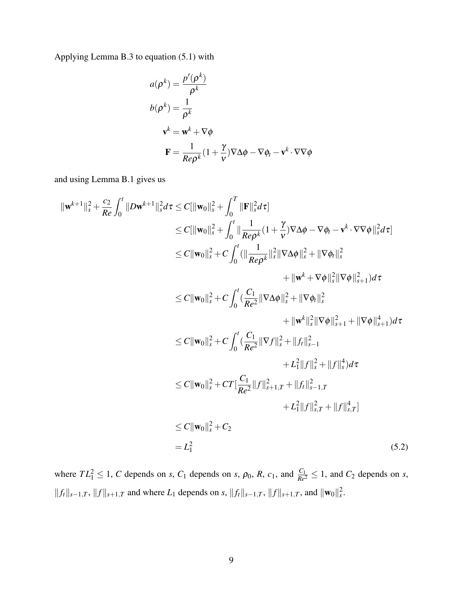Applying Lemma B.3 to equation (5.1) with

$$
a(\rho^k) = \frac{p'(\rho^k)}{\rho^k}
$$
  
\n
$$
b(\rho^k) = \frac{1}{\rho^k}
$$
  
\n
$$
\mathbf{v}^k = \mathbf{w}^k + \nabla \phi
$$
  
\n
$$
\mathbf{F} = \frac{1}{Re\rho^k} (1 + \frac{\gamma}{\nu}) \nabla \Delta \phi - \nabla \phi_t - \mathbf{v}^k \cdot \nabla \nabla \phi
$$

and using Lemma B.1 gives us

$$
\|\mathbf{w}^{k+1}\|_{s}^{2} + \frac{c_{2}}{Re} \int_{0}^{t} \|D\mathbf{w}^{k+1}\|_{s}^{2} d\tau \leq C [\|\mathbf{w}_{0}\|_{s}^{2} + \int_{0}^{T} \|\mathbf{F}\|_{s}^{2} d\tau] \n\leq C \|\mathbf{w}_{0}\|_{s}^{2} + \int_{0}^{t} \|\frac{1}{Re\rho^{k}} (1 + \frac{\gamma}{\nu}) \nabla \Delta \phi - \nabla \phi_{t} - \mathbf{v}^{k} \cdot \nabla \nabla \phi\|_{s}^{2} d\tau] \n\leq C \|\mathbf{w}_{0}\|_{s}^{2} + C \int_{0}^{t} (\|\frac{1}{Re\rho^{k}}\|_{s}^{2} \|\nabla \Delta \phi\|_{s}^{2} + \|\nabla \phi_{t}\|_{s}^{2} + \|\nabla \phi_{t}\|_{s+1}^{2}) d\tau \n\leq C \|\mathbf{w}_{0}\|_{s}^{2} + C \int_{0}^{t} (\frac{C_{1}}{Re^{2}} \|\nabla \Delta \phi\|_{s}^{2} + \|\nabla \phi_{t}\|_{s}^{2} + \|\nabla \phi\|_{s+1}^{2}) d\tau \n+ \|\mathbf{w}^{k}\|_{s}^{2} \|\nabla \phi\|_{s+1}^{2} + \|\nabla \phi\|_{s+1}^{4}) d\tau \n\leq C \|\mathbf{w}_{0}\|_{s}^{2} + C \int_{0}^{t} (\frac{C_{1}}{Re^{2}} \|\nabla f\|_{s}^{2} + \|f_{t}\|_{s-1}^{2} + \mathbf{L}_{1}^{2} \|f\|_{s}^{2} + \|f\|_{s}^{4}) d\tau \n\leq C \|\mathbf{w}_{0}\|_{s}^{2} + C T [\frac{C_{1}}{Re^{2}} \|f\|_{s+1,T}^{2} + \|f\|_{s-1,T}^{2} + \mathbf{L}_{1}^{2} \|f\|_{s,T}^{2} + \|f\|_{s,T}^{4}] \n\leq C \|\mathbf{w}_{0}\|_{s}^{2} + C_{2} \n= L_{1}^{2} \qquad (5.2)
$$

where  $TL_1^2 \leq 1$ , *C* depends on *s*,  $C_1$  depends on *s*,  $\rho_0$ , *R*,  $c_1$ , and  $\frac{C_1}{Re^2} \leq 1$ , and  $C_2$  depends on *s*,  $||f_t||_{s-1,T}$ ,  $||f||_{s+1,T}$  and where *L*<sub>1</sub> depends on *s*,  $||f_t||_{s-1,T}$ ,  $||f||_{s+1,T}$ , and  $||\mathbf{w}_0||_s^2$ .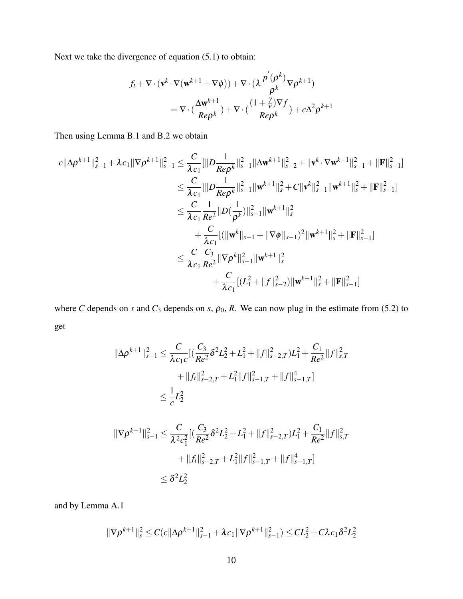Next we take the divergence of equation (5.1) to obtain:

$$
f_t + \nabla \cdot (\mathbf{v}^k \cdot \nabla (\mathbf{w}^{k+1} + \nabla \phi)) + \nabla \cdot (\lambda \frac{p'(\rho^k)}{\rho^k} \nabla \rho^{k+1})
$$
  
= 
$$
\nabla \cdot (\frac{\Delta \mathbf{w}^{k+1}}{Re\rho^k}) + \nabla \cdot (\frac{(1 + \frac{\gamma}{\nu})\nabla f}{Re\rho^k}) + c\Delta^2 \rho^{k+1}
$$

Then using Lemma B.1 and B.2 we obtain

$$
c||\Delta \rho^{k+1}||_{s-1}^{2} + \lambda c_{1}||\nabla \rho^{k+1}||_{s-1}^{2} \leq \frac{C}{\lambda c_{1}}[||D \frac{1}{Re\rho^{k}}||_{s-1}^{2}||\Delta \mathbf{w}^{k+1}||_{s-2}^{2} + \|\mathbf{v}^{k} \cdot \nabla \mathbf{w}^{k+1}||_{s-1}^{2} + \|\mathbf{F}\|_{s-1}^{2}]
$$
  
\n
$$
\leq \frac{C}{\lambda c_{1}}[||D \frac{1}{Re\rho^{k}}||_{s-1}^{2}||\mathbf{w}^{k+1}||_{s}^{2} + C||\mathbf{v}^{k}||_{s-1}^{2}||\mathbf{w}^{k+1}||_{s}^{2} + ||\mathbf{F}||_{s-1}^{2}]
$$
  
\n
$$
\leq \frac{C}{\lambda c_{1}} \frac{1}{Re^{2}}||D(\frac{1}{\rho^{k}})||_{s-1}^{2}||\mathbf{w}^{k+1}||_{s}^{2}
$$
  
\n
$$
+ \frac{C}{\lambda c_{1}}[(||\mathbf{w}^{k}||_{s-1} + ||\nabla \phi||_{s-1})^{2}||\mathbf{w}^{k+1}||_{s}^{2} + ||\mathbf{F}||_{s-1}^{2}]
$$
  
\n
$$
\leq \frac{C}{\lambda c_{1}} \frac{C_{3}}{Re^{2}}||\nabla \rho^{k}||_{s-1}^{2}||\mathbf{w}^{k+1}||_{s}^{2}
$$
  
\n
$$
+ \frac{C}{\lambda c_{1}}[(L_{1}^{2} + ||f||_{s-2}^{2})||\mathbf{w}^{k+1}||_{s}^{2} + ||\mathbf{F}||_{s-1}^{2}]
$$

where *C* depends on *s* and  $C_3$  depends on *s*,  $\rho_0$ , *R*. We can now plug in the estimate from (5.2) to get

$$
\|\Delta \rho^{k+1}\|_{s-1}^2 \leq \frac{C}{\lambda c_1 c} \Big[ \Big(\frac{C_3}{Re^2} \delta^2 L_2^2 + L_1^2 + \|f\|_{s-2,T}^2 \Big) L_1^2 + \frac{C_1}{Re^2} \|f\|_{s,T}^2 + \|f\|_{s-2,T}^2 + L_1^2 \|f\|_{s-1,T}^2 + \|f\|_{s-1,T}^4 \Big]
$$
  

$$
\leq \frac{1}{c} L_2^2
$$
  

$$
\|\nabla \rho^{k+1}\|_{s-1}^2 \leq \frac{C}{\lambda^2 c_1^2} \Big[ \Big(\frac{C_3}{Re^2} \delta^2 L_2^2 + L_1^2 + \|f\|_{s-2,T}^2 \Big) L_1^2 + \frac{C_1}{Re^2} \|f\|_{s,T}^2 + \|f\|_{s-2,T}^2 + L_1^2 \|f\|_{s-1,T}^2 + \|f\|_{s-1,T}^4 \Big]
$$
  

$$
\leq \delta^2 L_2^2
$$

and by Lemma A.1

$$
\|\nabla \rho^{k+1}\|_{s}^{2} \leq C(c\|\Delta \rho^{k+1}\|_{s-1}^{2} + \lambda c_{1} \|\nabla \rho^{k+1}\|_{s-1}^{2}) \leq CL_{2}^{2} + C\lambda c_{1} \delta^{2} L_{2}^{2}
$$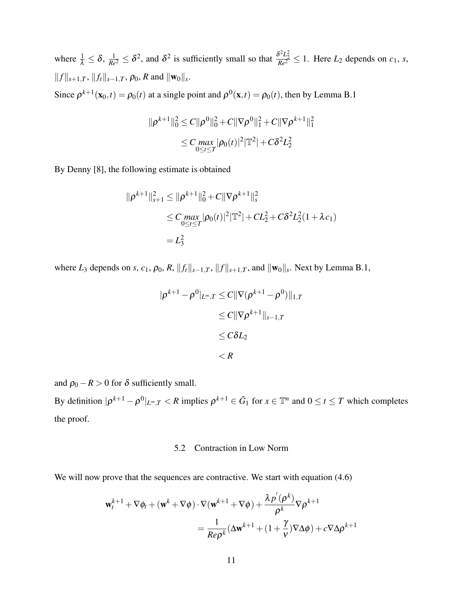where  $\frac{1}{\lambda} \leq \delta$ ,  $\frac{1}{Re^2} \leq \delta^2$ , and  $\delta^2$  is sufficiently small so that  $\frac{\delta^2 L_2^2}{Re^2} \leq 1$ . Here  $L_2$  depends on  $c_1$ , *s*,  $||f||_{s+1,T}$ ,  $||f_t||_{s-1,T}$ ,  $\rho_0$ , *R* and  $||\mathbf{w}_0||_s$ .

Since  $\rho^{k+1}(\mathbf{x}_0,t) = \rho_0(t)$  at a single point and  $\rho^0(\mathbf{x},t) = \rho_0(t)$ , then by Lemma B.1

$$
\|\rho^{k+1}\|_{0}^{2} \leq C \|\rho^{0}\|_{0}^{2} + C \|\nabla \rho^{0}\|_{1}^{2} + C \|\nabla \rho^{k+1}\|_{1}^{2}
$$
  

$$
\leq C \max_{0 \leq t \leq T} |\rho_{0}(t)|^{2} |\mathbb{T}^{2}| + C \delta^{2} L_{2}^{2}
$$

By Denny [8], the following estimate is obtained

$$
\|\rho^{k+1}\|_{s+1}^2 \le \|\rho^{k+1}\|_0^2 + C\|\nabla\rho^{k+1}\|_s^2
$$
  
\n
$$
\le C \max_{0 \le t \le T} |\rho_0(t)|^2 |\mathbb{T}^2| + CL_2^2 + C\delta^2 L_2^2 (1 + \lambda c_1)
$$
  
\n
$$
= L_3^2
$$

where  $L_3$  depends on *s*,  $c_1$ ,  $\rho_0$ ,  $R$ ,  $||f_t||_{s-1,T}$ ,  $||f||_{s+1,T}$ , and  $||\mathbf{w}_0||_s$ . Next by Lemma B.1,

$$
|\rho^{k+1} - \rho^0|_{L^\infty,T} \le C \|\nabla(\rho^{k+1} - \rho^0)\|_{1,T}
$$
  
\n
$$
\le C \|\nabla \rho^{k+1}\|_{s-1,T}
$$
  
\n
$$
\le C \delta L_2
$$
  
\n
$$
< R
$$

and  $\rho_0 - R > 0$  for  $\delta$  sufficiently small.

By definition  $|\rho^{k+1} - \rho^0|_{L^\infty,T} < R$  implies  $\rho^{k+1} \in \bar{G}_1$  for  $x \in \mathbb{T}^n$  and  $0 \le t \le T$  which completes the proof.

### 5.2 Contraction in Low Norm

We will now prove that the sequences are contractive. We start with equation  $(4.6)$ 

$$
\mathbf{w}_{t}^{k+1} + \nabla \phi_{t} + (\mathbf{w}^{k} + \nabla \phi) \cdot \nabla (\mathbf{w}^{k+1} + \nabla \phi) + \frac{\lambda p^{'}(\rho^{k})}{\rho^{k}} \nabla \rho^{k+1}
$$
  
= 
$$
\frac{1}{\text{Re}\rho^{k}} (\Delta \mathbf{w}^{k+1} + (1 + \frac{\gamma}{\nu}) \nabla \Delta \phi) + c \nabla \Delta \rho^{k+1}
$$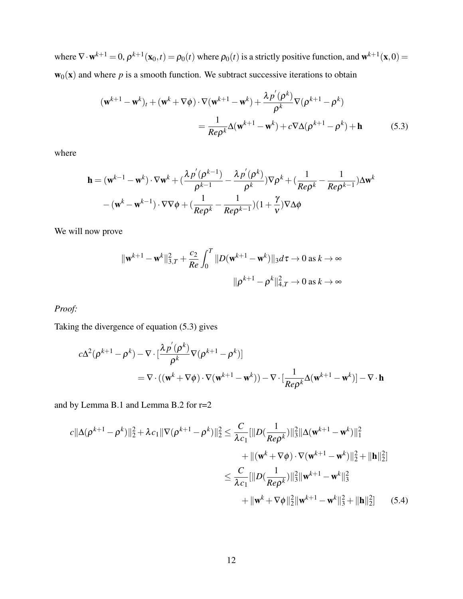where  $\nabla \cdot \mathbf{w}^{k+1} = 0$ ,  $\rho^{k+1}(\mathbf{x}_0, t) = \rho_0(t)$  where  $\rho_0(t)$  is a strictly positive function, and  $\mathbf{w}^{k+1}(\mathbf{x}, 0) =$  $w_0(x)$  and where p is a smooth function. We subtract successive iterations to obtain

$$
(\mathbf{w}^{k+1} - \mathbf{w}^k)_t + (\mathbf{w}^k + \nabla \phi) \cdot \nabla (\mathbf{w}^{k+1} - \mathbf{w}^k) + \frac{\lambda p'(\rho^k)}{\rho^k} \nabla (\rho^{k+1} - \rho^k)
$$
  
= 
$$
\frac{1}{Re\rho^k} \Delta (\mathbf{w}^{k+1} - \mathbf{w}^k) + c \nabla \Delta (\rho^{k+1} - \rho^k) + \mathbf{h}
$$
(5.3)

where

$$
\mathbf{h} = (\mathbf{w}^{k-1} - \mathbf{w}^k) \cdot \nabla \mathbf{w}^k + \left(\frac{\lambda p^{\prime}(\rho^{k-1})}{\rho^{k-1}} - \frac{\lambda p^{\prime}(\rho^k)}{\rho^k}\right) \nabla \rho^k + \left(\frac{1}{Re\rho^k} - \frac{1}{Re\rho^{k-1}}\right) \Delta \mathbf{w}^k
$$

$$
-(\mathbf{w}^k - \mathbf{w}^{k-1}) \cdot \nabla \nabla \phi + \left(\frac{1}{Re\rho^k} - \frac{1}{Re\rho^{k-1}}\right) (1 + \frac{\gamma}{\nu}) \nabla \Delta \phi
$$

We will now prove

$$
\|\mathbf{w}^{k+1} - \mathbf{w}^k\|_{3,T}^2 + \frac{c_2}{Re} \int_0^T \|D(\mathbf{w}^{k+1} - \mathbf{w}^k)\|_3 d\tau \to 0 \text{ as } k \to \infty
$$

$$
\|\rho^{k+1} - \rho^k\|_{4,T}^2 \to 0 \text{ as } k \to \infty
$$

# *Proof:*

Taking the divergence of equation (5.3) gives

$$
c\Delta^{2}(\rho^{k+1} - \rho^{k}) - \nabla \cdot \left[\frac{\lambda p^{'}(\rho^{k})}{\rho^{k}} \nabla(\rho^{k+1} - \rho^{k})\right]
$$
  
=  $\nabla \cdot ((\mathbf{w}^{k} + \nabla \phi) \cdot \nabla(\mathbf{w}^{k+1} - \mathbf{w}^{k})) - \nabla \cdot \left[\frac{1}{Re\rho^{k}} \Delta(\mathbf{w}^{k+1} - \mathbf{w}^{k})\right] - \nabla \cdot \mathbf{h}$ 

and by Lemma B.1 and Lemma B.2 for r=2

$$
c||\Delta(\rho^{k+1} - \rho^{k})||_{2}^{2} + \lambda c_{1}||\nabla(\rho^{k+1} - \rho^{k})||_{2}^{2} \leq \frac{C}{\lambda c_{1}}[||D(\frac{1}{Re\rho^{k}})||_{3}^{2}||\Delta(\mathbf{w}^{k+1} - \mathbf{w}^{k})||_{1}^{2} + ||\mathbf{h}||_{2}^{2}]
$$
  

$$
\leq \frac{C}{\lambda c_{1}}[||D(\frac{1}{Re\rho^{k}})||_{3}^{2}||\mathbf{w}^{k+1} - \mathbf{w}^{k}||_{3}^{2} + ||\mathbf{h}||_{2}^{2}]
$$
  

$$
+ ||\mathbf{w}^{k} + \nabla\phi||_{2}^{2}||\mathbf{w}^{k+1} - \mathbf{w}^{k}||_{3}^{2} + ||\mathbf{h}||_{2}^{2}] \qquad (5.4)
$$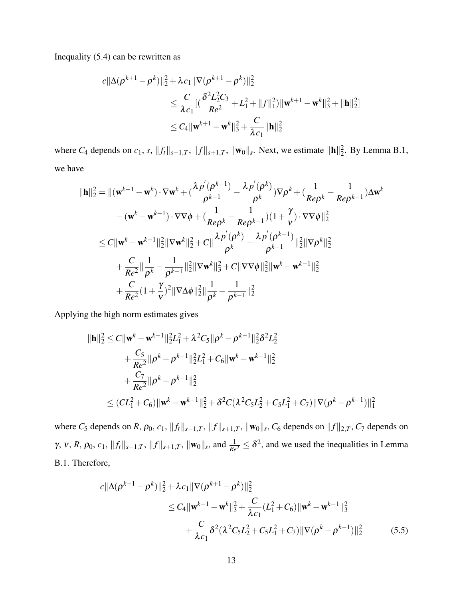Inequality (5.4) can be rewritten as

$$
c||\Delta(\rho^{k+1} - \rho^k)||_2^2 + \lambda c_1 ||\nabla(\rho^{k+1} - \rho^k)||_2^2
$$
  
\n
$$
\leq \frac{C}{\lambda c_1} [(\frac{\delta^2 L_2^2 C_3}{Re^2} + L_1^2 + ||f||_1^2) ||\mathbf{w}^{k+1} - \mathbf{w}^k||_3^2 + ||\mathbf{h}||_2^2]
$$
  
\n
$$
\leq C_4 ||\mathbf{w}^{k+1} - \mathbf{w}^k||_3^2 + \frac{C}{\lambda c_1} ||\mathbf{h}||_2^2
$$

where  $C_4$  depends on  $c_1$ ,  $s$ ,  $||f_t||_{s-1,T}$ ,  $||f||_{s+1,T}$ ,  $||\mathbf{w}_0||_s$ . Next, we estimate  $||\mathbf{h}||_2^2$ . By Lemma B.1, we have

$$
\|\mathbf{h}\|_{2}^{2} = \|(\mathbf{w}^{k-1} - \mathbf{w}^{k}) \cdot \nabla \mathbf{w}^{k} + (\frac{\lambda p^{'}(\rho^{k-1})}{\rho^{k-1}} - \frac{\lambda p^{'}(\rho^{k})}{\rho^{k}}) \nabla \rho^{k} + (\frac{1}{Re\rho^{k}} - \frac{1}{Re\rho^{k-1}}) \Delta \mathbf{w}^{k}
$$

$$
- (\mathbf{w}^{k} - \mathbf{w}^{k-1}) \cdot \nabla \nabla \phi + (\frac{1}{Re\rho^{k}} - \frac{1}{Re\rho^{k-1}}) (1 + \frac{\gamma}{\nu}) \cdot \nabla \nabla \phi \|_{2}^{2}
$$

$$
\leq C \|\mathbf{w}^{k} - \mathbf{w}^{k-1}\|_{2}^{2} \|\nabla \mathbf{w}^{k}\|_{2}^{2} + C \|\frac{\lambda p^{'}(\rho^{k})}{\rho^{k}} - \frac{\lambda p^{'}(\rho^{k-1})}{\rho^{k-1}} \|_{2}^{2} \|\nabla \rho^{k}\|_{2}^{2}
$$

$$
+ \frac{C}{Re^{2}} \|\frac{1}{\rho^{k}} - \frac{1}{\rho^{k-1}} \|\frac{2}{2} \|\nabla \mathbf{w}^{k}\|_{3}^{2} + C \|\nabla \nabla \phi\|_{2}^{2} \|\mathbf{w}^{k} - \mathbf{w}^{k-1}\|_{2}^{2}
$$

$$
+ \frac{C}{Re^{2}} (1 + \frac{\gamma}{\nu})^{2} \|\nabla \Delta \phi\|_{2}^{2} \|\frac{1}{\rho^{k}} - \frac{1}{\rho^{k-1}} \|\frac{2}{2}
$$

Applying the high norm estimates gives

$$
\|\mathbf{h}\|_{2}^{2} \leq C \|\mathbf{w}^{k} - \mathbf{w}^{k-1}\|_{2}^{2}L_{1}^{2} + \lambda^{2}C_{5} \|\rho^{k} - \rho^{k-1}\|_{2}^{2} \delta^{2} L_{2}^{2} + \frac{C_{5}}{Re^{2}} \|\rho^{k} - \rho^{k-1}\|_{2}^{2}L_{1}^{2} + C_{6} \|\mathbf{w}^{k} - \mathbf{w}^{k-1}\|_{2}^{2} + \frac{C_{7}}{Re^{2}} \|\rho^{k} - \rho^{k-1}\|_{2}^{2} \leq (CL_{1}^{2} + C_{6}) \|\mathbf{w}^{k} - \mathbf{w}^{k-1}\|_{2}^{2} + \delta^{2}C(\lambda^{2}C_{5}L_{2}^{2} + C_{5}L_{1}^{2} + C_{7}) \|\nabla(\rho^{k} - \rho^{k-1})\|_{1}^{2}
$$

where  $C_5$  depends on  $R$ ,  $\rho_0$ ,  $c_1$ ,  $||f_t||_{s-1,T}$ ,  $||f||_{s+1,T}$ ,  $||\mathbf{w}_0||_s$ ,  $C_6$  depends on  $||f||_{2,T}$ ,  $C_7$  depends on  $\gamma$ ,  $v$ ,  $R$ ,  $\rho_0$ ,  $c_1$ ,  $||f||_{s-1,T}$ ,  $||f||_{s+1,T}$ ,  $||\mathbf{w}_0||_s$ , and  $\frac{1}{Re^2} \le \delta^2$ , and we used the inequalities in Lemma B.1. Therefore,

$$
c||\Delta(\rho^{k+1} - \rho^k)||_2^2 + \lambda c_1 ||\nabla(\rho^{k+1} - \rho^k)||_2^2
$$
  
\n
$$
\leq C_4 ||\mathbf{w}^{k+1} - \mathbf{w}^k||_3^2 + \frac{C}{\lambda c_1} (L_1^2 + C_6)||\mathbf{w}^k - \mathbf{w}^{k-1}||_3^2
$$
  
\n
$$
+ \frac{C}{\lambda c_1} \delta^2 (\lambda^2 C_5 L_2^2 + C_5 L_1^2 + C_7)||\nabla(\rho^k - \rho^{k-1})||_2^2
$$
 (5.5)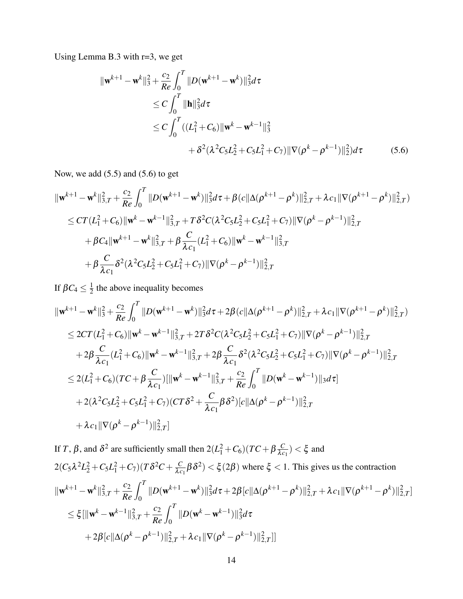Using Lemma B.3 with r=3, we get

$$
\|\mathbf{w}^{k+1} - \mathbf{w}^{k}\|_{3}^{2} + \frac{c_{2}}{Re} \int_{0}^{T} \|D(\mathbf{w}^{k+1} - \mathbf{w}^{k})\|_{3}^{2} d\tau
$$
  
\n
$$
\leq C \int_{0}^{T} \|\mathbf{h}\|_{3}^{2} d\tau
$$
  
\n
$$
\leq C \int_{0}^{T} ((L_{1}^{2} + C_{6}) \|\mathbf{w}^{k} - \mathbf{w}^{k-1}\|_{3}^{2})
$$
  
\n
$$
+ \delta^{2} (\lambda^{2} C_{5} L_{2}^{2} + C_{5} L_{1}^{2} + C_{7}) \|\nabla(\rho^{k} - \rho^{k-1})\|_{2}^{2}) d\tau
$$
 (5.6)

Now, we add (5.5) and (5.6) to get

$$
\|\mathbf{w}^{k+1} - \mathbf{w}^{k}\|_{3,T}^{2} + \frac{c_{2}}{Re} \int_{0}^{T} \|D(\mathbf{w}^{k+1} - \mathbf{w}^{k})\|_{3}^{2} d\tau + \beta(c\|\Delta(\rho^{k+1} - \rho^{k})\|_{2,T}^{2} + \lambda c_{1} \|\nabla(\rho^{k+1} - \rho^{k})\|_{2,T}^{2})
$$
  
\n
$$
\leq CT(L_{1}^{2} + C_{6}) \|\mathbf{w}^{k} - \mathbf{w}^{k-1}\|_{3,T}^{2} + T\delta^{2}C(\lambda^{2}C_{5}L_{2}^{2} + C_{5}L_{1}^{2} + C_{7}) \|\nabla(\rho^{k} - \rho^{k-1})\|_{2,T}^{2}
$$
  
\n
$$
+ \beta C_{4} \|\mathbf{w}^{k+1} - \mathbf{w}^{k}\|_{3,T}^{2} + \beta \frac{C}{\lambda c_{1}}(L_{1}^{2} + C_{6}) \|\mathbf{w}^{k} - \mathbf{w}^{k-1}\|_{3,T}^{2}
$$
  
\n
$$
+ \beta \frac{C}{\lambda c_{1}} \delta^{2}(\lambda^{2}C_{5}L_{2}^{2} + C_{5}L_{1}^{2} + C_{7}) \|\nabla(\rho^{k} - \rho^{k-1})\|_{2,T}^{2}
$$

If  $βC_4 ≤ \frac{1}{2}$  $\frac{1}{2}$  the above inequality becomes

$$
\|\mathbf{w}^{k+1} - \mathbf{w}^{k}\|_{3}^{2} + \frac{c_{2}}{Re} \int_{0}^{T} \|D(\mathbf{w}^{k+1} - \mathbf{w}^{k})\|_{3}^{2} d\tau + 2\beta (c \|\Delta(\rho^{k+1} - \rho^{k})\|_{2,T}^{2} + \lambda c_{1} \|\nabla(\rho^{k+1} - \rho^{k})\|_{2,T}^{2})
$$
  
\n
$$
\leq 2CT (L_{1}^{2} + C_{6}) \|\mathbf{w}^{k} - \mathbf{w}^{k-1}\|_{3,T}^{2} + 2T \delta^{2} C (\lambda^{2} C_{5} L_{2}^{2} + C_{5} L_{1}^{2} + C_{7}) \|\nabla(\rho^{k} - \rho^{k-1})\|_{2,T}^{2}
$$
  
\n
$$
+ 2\beta \frac{C}{\lambda c_{1}} (L_{1}^{2} + C_{6}) \|\mathbf{w}^{k} - \mathbf{w}^{k-1}\|_{3,T}^{2} + 2\beta \frac{C}{\lambda c_{1}} \delta^{2} (\lambda^{2} C_{5} L_{2}^{2} + C_{5} L_{1}^{2} + C_{7}) \|\nabla(\rho^{k} - \rho^{k-1})\|_{2,T}^{2}
$$
  
\n
$$
\leq 2(L_{1}^{2} + C_{6}) (TC + \beta \frac{C}{\lambda c_{1}}) [\|\mathbf{w}^{k} - \mathbf{w}^{k-1}\|_{3,T}^{2} + \frac{c_{2}}{Re} \int_{0}^{T} \|D(\mathbf{w}^{k} - \mathbf{w}^{k-1})\|_{3} d\tau]
$$
  
\n
$$
+ 2(\lambda^{2} C_{5} L_{2}^{2} + C_{5} L_{1}^{2} + C_{7}) (CT \delta^{2} + \frac{C}{\lambda c_{1}} \beta \delta^{2}) [c \|\Delta(\rho^{k} - \rho^{k-1})\|_{2,T}^{2}
$$
  
\n
$$
+ \lambda c_{1} \|\nabla(\rho^{k} - \rho^{k-1})\|_{2,T}^{2}]
$$

If *T*, 
$$
\beta
$$
, and  $\delta^2$  are sufficiently small then  $2(L_1^2 + C_6)(TC + \beta \frac{C}{\lambda c_1}) < \xi$  and  
\n
$$
2(C_5\lambda^2 L_2^2 + C_5L_1^2 + C_7)(T\delta^2 C + \frac{C}{\lambda c_1}\beta \delta^2) < \xi(2\beta)
$$
 where  $\xi < 1$ . This gives us the contraction  
\n
$$
\|\mathbf{w}^{k+1} - \mathbf{w}^k\|_{3,T}^2 + \frac{c_2}{Re} \int_0^T \|D(\mathbf{w}^{k+1} - \mathbf{w}^k)\|_3^2 d\tau + 2\beta [c\|\Delta(\rho^{k+1} - \rho^k)\|_{2,T}^2 + \lambda c_1 \|\nabla(\rho^{k+1} - \rho^k)\|_{2,T}^2]
$$
\n
$$
\leq \xi [\|\mathbf{w}^k - \mathbf{w}^{k-1}\|_{3,T}^2 + \frac{c_2}{Re} \int_0^T \|D(\mathbf{w}^k - \mathbf{w}^{k-1})\|_3^2 d\tau
$$
\n
$$
+ 2\beta [c\|\Delta(\rho^k - \rho^{k-1})\|_{2,T}^2 + \lambda c_1 \|\nabla(\rho^k - \rho^{k-1})\|_{2,T}^2]]
$$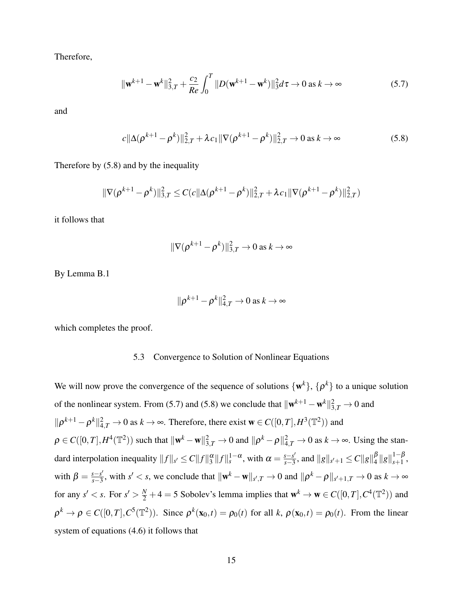Therefore,

$$
\|\mathbf{w}^{k+1} - \mathbf{w}^k\|_{3,T}^2 + \frac{c_2}{Re} \int_0^T \|D(\mathbf{w}^{k+1} - \mathbf{w}^k)\|_3^2 d\tau \to 0 \text{ as } k \to \infty
$$
 (5.7)

and

$$
c\|\Delta(\rho^{k+1}-\rho^k)\|_{2,T}^2 + \lambda c_1 \|\nabla(\rho^{k+1}-\rho^k)\|_{2,T}^2 \to 0 \text{ as } k \to \infty
$$
 (5.8)

Therefore by (5.8) and by the inequality

$$
\|\nabla(\rho^{k+1}-\rho^k)\|_{3,T}^2 \leq C(c\|\Delta(\rho^{k+1}-\rho^k)\|_{2,T}^2 + \lambda c_1 \|\nabla(\rho^{k+1}-\rho^k)\|_{2,T}^2)
$$

it follows that

$$
\|\nabla(\rho^{k+1}-\rho^k)\|_{3,T}^2\to 0 \text{ as } k\to\infty
$$

By Lemma B.1

$$
\|\rho^{k+1}-\rho^k\|_{4,T}^2\to 0 \text{ as } k\to\infty
$$

which completes the proof.

# 5.3 Convergence to Solution of Nonlinear Equations

We will now prove the convergence of the sequence of solutions  $\{w^k\}$ ,  $\{\rho^k\}$  to a unique solution of the nonlinear system. From (5.7) and (5.8) we conclude that  $\|\mathbf{w}^{k+1} - \mathbf{w}^{k}\|_{3,T}^{2} \to 0$  and  $\|\rho^{k+1} - \rho^k\|_{4,T}^2 \to 0$  as  $k \to \infty$ . Therefore, there exist  $\mathbf{w} \in C([0,T], H^3(\mathbb{T}^2))$  and  $\rho \in C([0,T], H^4(\mathbb{T}^2))$  such that  $\|\mathbf{w}^k - \mathbf{w}\|_{3,T}^2 \to 0$  and  $\|\rho^k - \rho\|_{4,T}^2 \to 0$  as  $k \to \infty$ . Using the standard interpolation inequality  $||f||_{s'} \leq C ||f||_{3}^{\alpha} ||f||_{s}^{1-\alpha}$ , with  $\alpha = \frac{s-s'}{s-3}$ *s*−*s'*, and  $||g||_{s' + 1}$  ≤ *C* $||g||_{4}^{β}$  $^{\beta}_{4} \| g \|_{s+1}^{1-\beta}$  $_{s+1}^{1-p}$ , with  $\beta = \frac{s - s'}{s - 3}$ *s*−*s'*, with *s'* < *s*, we conclude that  $\|\mathbf{w}^k - \mathbf{w}\|_{s',T}$  → 0 and  $\|\rho^k - \rho\|_{s'+1,T}$  → 0 as  $k \to \infty$ for any  $s' < s$ . For  $s' > \frac{N}{2} + 4 = 5$  Sobolev's lemma implies that  $w^k \to w \in C([0, T], C^4(\mathbb{T}^2))$  and  $\rho^k \to \rho \in C([0, T], C^5(\mathbb{T}^2))$ . Since  $\rho^k(\mathbf{x}_0, t) = \rho_0(t)$  for all *k*,  $\rho(\mathbf{x}_0, t) = \rho_0(t)$ . From the linear system of equations (4.6) it follows that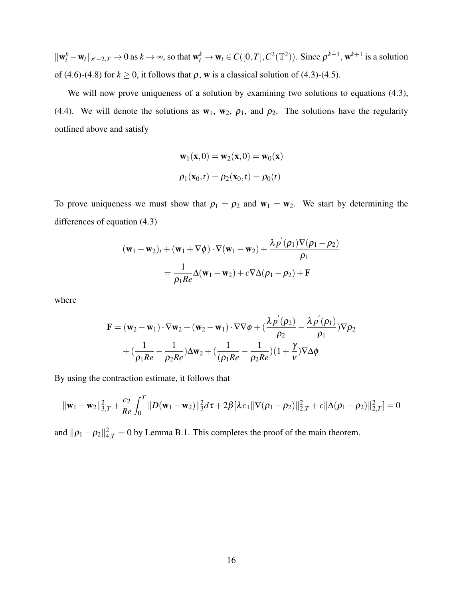$\|\mathbf{w}_t^k - \mathbf{w}_t\|_{s'-2,T} \to 0$  as  $k \to \infty$ , so that  $\mathbf{w}_t^k \to \mathbf{w}_t \in C([0,T], C^2(\mathbb{T}^2))$ . Since  $\rho^{k+1}$ ,  $\mathbf{w}^{k+1}$  is a solution of (4.6)-(4.8) for  $k \ge 0$ , it follows that  $\rho$ , w is a classical solution of (4.3)-(4.5).

We will now prove uniqueness of a solution by examining two solutions to equations (4.3), (4.4). We will denote the solutions as  $w_1$ ,  $w_2$ ,  $\rho_1$ , and  $\rho_2$ . The solutions have the regularity outlined above and satisfy

$$
\mathbf{w}_1(\mathbf{x}, 0) = \mathbf{w}_2(\mathbf{x}, 0) = \mathbf{w}_0(\mathbf{x})
$$

$$
\rho_1(\mathbf{x}_0, t) = \rho_2(\mathbf{x}_0, t) = \rho_0(t)
$$

To prove uniqueness we must show that  $\rho_1 = \rho_2$  and  $w_1 = w_2$ . We start by determining the differences of equation (4.3)

$$
(\mathbf{w}_1 - \mathbf{w}_2)_t + (\mathbf{w}_1 + \nabla \phi) \cdot \nabla (\mathbf{w}_1 - \mathbf{w}_2) + \frac{\lambda p'(\rho_1) \nabla (\rho_1 - \rho_2)}{\rho_1}
$$
  
= 
$$
\frac{1}{\rho_1 Re} \Delta (\mathbf{w}_1 - \mathbf{w}_2) + c \nabla \Delta (\rho_1 - \rho_2) + \mathbf{F}
$$

where

$$
\mathbf{F} = (\mathbf{w}_2 - \mathbf{w}_1) \cdot \nabla \mathbf{w}_2 + (\mathbf{w}_2 - \mathbf{w}_1) \cdot \nabla \nabla \phi + (\frac{\lambda p'(\rho_2)}{\rho_2} - \frac{\lambda p'(\rho_1)}{\rho_1}) \nabla \rho_2
$$
  
+  $(\frac{1}{\rho_1 Re} - \frac{1}{\rho_2 Re}) \Delta \mathbf{w}_2 + (\frac{1}{(\rho_1 Re} - \frac{1}{\rho_2 Re})(1 + \frac{\gamma}{\nu}) \nabla \Delta \phi$ 

By using the contraction estimate, it follows that

$$
\|\mathbf{w}_1 - \mathbf{w}_2\|_{3,T}^2 + \frac{c_2}{Re} \int_0^T \|D(\mathbf{w}_1 - \mathbf{w}_2)\|_3^2 d\tau + 2\beta [\lambda c_1 \|\nabla(\rho_1 - \rho_2)\|_{2,T}^2 + c\|\Delta(\rho_1 - \rho_2)\|_{2,T}^2] = 0
$$

and  $\|\rho_1 - \rho_2\|_{4,T}^2 = 0$  by Lemma B.1. This completes the proof of the main theorem.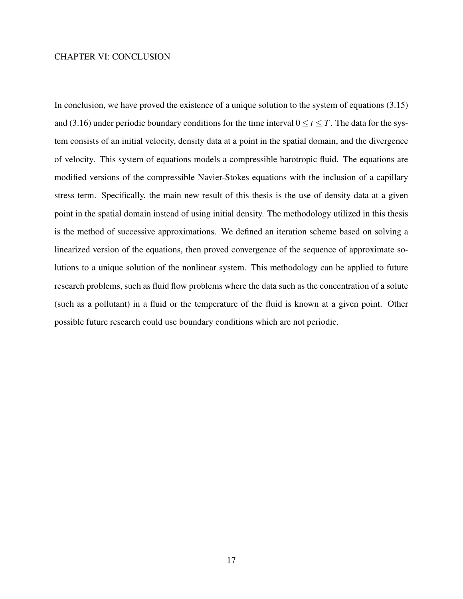# CHAPTER VI: CONCLUSION

In conclusion, we have proved the existence of a unique solution to the system of equations (3.15) and (3.16) under periodic boundary conditions for the time interval  $0 \le t \le T$ . The data for the system consists of an initial velocity, density data at a point in the spatial domain, and the divergence of velocity. This system of equations models a compressible barotropic fluid. The equations are modified versions of the compressible Navier-Stokes equations with the inclusion of a capillary stress term. Specifically, the main new result of this thesis is the use of density data at a given point in the spatial domain instead of using initial density. The methodology utilized in this thesis is the method of successive approximations. We defined an iteration scheme based on solving a linearized version of the equations, then proved convergence of the sequence of approximate solutions to a unique solution of the nonlinear system. This methodology can be applied to future research problems, such as fluid flow problems where the data such as the concentration of a solute (such as a pollutant) in a fluid or the temperature of the fluid is known at a given point. Other possible future research could use boundary conditions which are not periodic.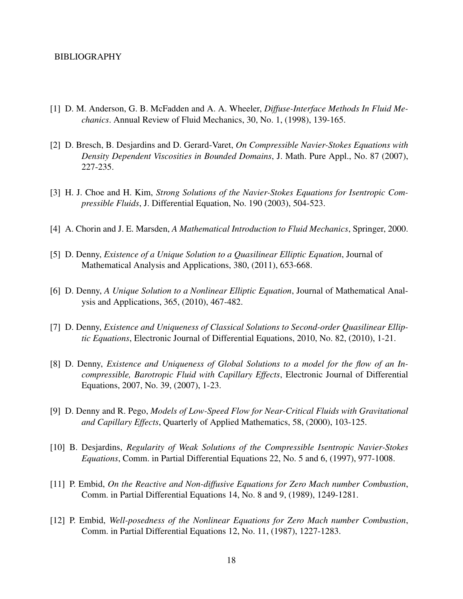### BIBLIOGRAPHY

- [1] D. M. Anderson, G. B. McFadden and A. A. Wheeler, *Diffuse-Interface Methods In Fluid Mechanics*. Annual Review of Fluid Mechanics, 30, No. 1, (1998), 139-165.
- [2] D. Bresch, B. Desjardins and D. Gerard-Varet, *On Compressible Navier-Stokes Equations with Density Dependent Viscosities in Bounded Domains*, J. Math. Pure Appl., No. 87 (2007), 227-235.
- [3] H. J. Choe and H. Kim, *Strong Solutions of the Navier-Stokes Equations for Isentropic Compressible Fluids*, J. Differential Equation, No. 190 (2003), 504-523.
- [4] A. Chorin and J. E. Marsden, *A Mathematical Introduction to Fluid Mechanics*, Springer, 2000.
- [5] D. Denny, *Existence of a Unique Solution to a Quasilinear Elliptic Equation*, Journal of Mathematical Analysis and Applications, 380, (2011), 653-668.
- [6] D. Denny, *A Unique Solution to a Nonlinear Elliptic Equation*, Journal of Mathematical Analysis and Applications, 365, (2010), 467-482.
- [7] D. Denny, *Existence and Uniqueness of Classical Solutions to Second-order Quasilinear Elliptic Equations*, Electronic Journal of Differential Equations, 2010, No. 82, (2010), 1-21.
- [8] D. Denny, *Existence and Uniqueness of Global Solutions to a model for the flow of an Incompressible, Barotropic Fluid with Capillary Effects*, Electronic Journal of Differential Equations, 2007, No. 39, (2007), 1-23.
- [9] D. Denny and R. Pego, *Models of Low-Speed Flow for Near-Critical Fluids with Gravitational and Capillary Effects*, Quarterly of Applied Mathematics, 58, (2000), 103-125.
- [10] B. Desjardins, *Regularity of Weak Solutions of the Compressible Isentropic Navier-Stokes Equations*, Comm. in Partial Differential Equations 22, No. 5 and 6, (1997), 977-1008.
- [11] P. Embid, *On the Reactive and Non-diffusive Equations for Zero Mach number Combustion*, Comm. in Partial Differential Equations 14, No. 8 and 9, (1989), 1249-1281.
- [12] P. Embid, *Well-posedness of the Nonlinear Equations for Zero Mach number Combustion*, Comm. in Partial Differential Equations 12, No. 11, (1987), 1227-1283.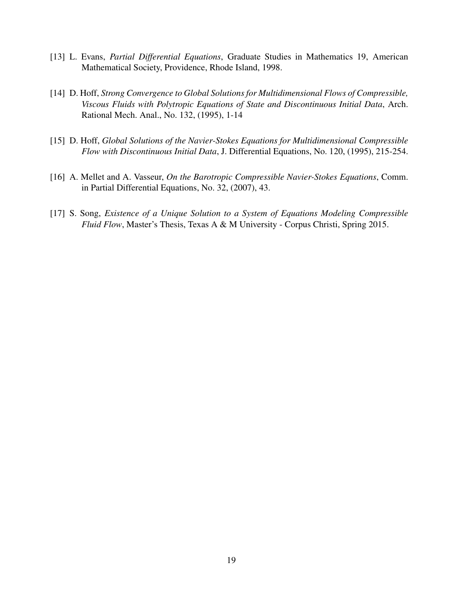- [13] L. Evans, *Partial Differential Equations*, Graduate Studies in Mathematics 19, American Mathematical Society, Providence, Rhode Island, 1998.
- [14] D. Hoff, *Strong Convergence to Global Solutions for Multidimensional Flows of Compressible, Viscous Fluids with Polytropic Equations of State and Discontinuous Initial Data*, Arch. Rational Mech. Anal., No. 132, (1995), 1-14
- [15] D. Hoff, *Global Solutions of the Navier-Stokes Equations for Multidimensional Compressible Flow with Discontinuous Initial Data*, J. Differential Equations, No. 120, (1995), 215-254.
- [16] A. Mellet and A. Vasseur, *On the Barotropic Compressible Navier-Stokes Equations*, Comm. in Partial Differential Equations, No. 32, (2007), 43.
- [17] S. Song, *Existence of a Unique Solution to a System of Equations Modeling Compressible Fluid Flow*, Master's Thesis, Texas A & M University - Corpus Christi, Spring 2015.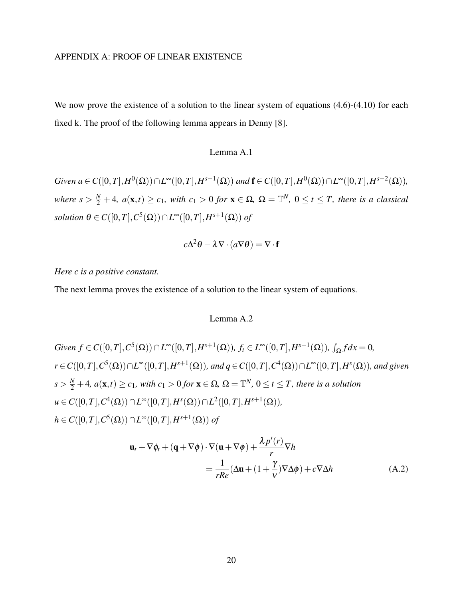## APPENDIX A: PROOF OF LINEAR EXISTENCE

We now prove the existence of a solution to the linear system of equations  $(4.6)-(4.10)$  for each fixed k. The proof of the following lemma appears in Denny [8].

# Lemma A.1

 $Given\ a ∈ C([0,T], H^0(\Omega)) ∩ L^∞([0,T], H^{s-1}(\Omega))\ and\ {\bf f} ∈ C([0,T], H^0(\Omega)) ∩ L^∞([0,T], H^{s-2}(\Omega)),$  $where s > \frac{N}{2} + 4$ ,  $a(\mathbf{x}, t) \ge c_1$ , with  $c_1 > 0$  for  $\mathbf{x} \in \Omega$ ,  $\Omega = \mathbb{T}^N$ ,  $0 \le t \le T$ , there is a classical  $solution \ \theta \in C([0,T], C^5(\Omega)) \cap L^{\infty}([0,T], H^{s+1}(\Omega)) \ of$ 

$$
c\Delta^2 \theta - \lambda \nabla \cdot (a\nabla \theta) = \nabla \cdot \mathbf{f}
$$

# *Here c is a positive constant.*

The next lemma proves the existence of a solution to the linear system of equations.

# Lemma A.2

Given 
$$
f \in C([0, T], C^5(\Omega)) \cap L^{\infty}([0, T], H^{s+1}(\Omega)), f_t \in L^{\infty}([0, T], H^{s-1}(\Omega)), \int_{\Omega} f dx = 0,
$$
  
\n $r \in C([0, T], C^5(\Omega)) \cap L^{\infty}([0, T], H^{s+1}(\Omega)), and q \in C([0, T], C^4(\Omega)) \cap L^{\infty}([0, T], H^s(\Omega)), and given$   
\n $s > \frac{N}{2} + 4, a(\mathbf{x}, t) \ge c_1$ , with  $c_1 > 0$  for  $\mathbf{x} \in \Omega$ ,  $\Omega = \mathbb{T}^N$ ,  $0 \le t \le T$ , there is a solution  
\n $u \in C([0, T], C^4(\Omega)) \cap L^{\infty}([0, T], H^s(\Omega)) \cap L^2([0, T], H^{s+1}(\Omega)),$   
\n $h \in C([0, T], C^5(\Omega)) \cap L^{\infty}([0, T], H^{s+1}(\Omega))$  of

$$
\mathbf{u}_{t} + \nabla \phi_{t} + (\mathbf{q} + \nabla \phi) \cdot \nabla (\mathbf{u} + \nabla \phi) + \frac{\lambda p'(r)}{r} \nabla h
$$
  
= 
$$
\frac{1}{rRe} (\Delta \mathbf{u} + (1 + \frac{\gamma}{\nu}) \nabla \Delta \phi) + c \nabla \Delta h
$$
 (A.2)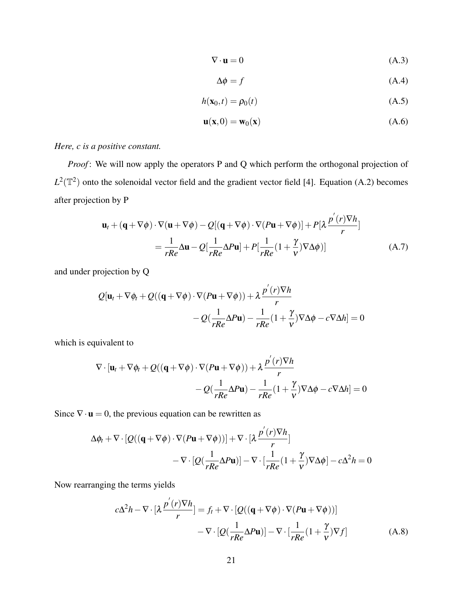$$
\nabla \cdot \mathbf{u} = 0 \tag{A.3}
$$

$$
\Delta \phi = f \tag{A.4}
$$

$$
h(\mathbf{x}_0, t) = \rho_0(t) \tag{A.5}
$$

$$
\mathbf{u}(\mathbf{x},0) = \mathbf{w}_0(\mathbf{x})
$$
 (A.6)

# *Here, c is a positive constant.*

*Proof*: We will now apply the operators P and Q which perform the orthogonal projection of  $L^2(\mathbb{T}^2)$  onto the solenoidal vector field and the gradient vector field [4]. Equation (A.2) becomes after projection by P

$$
\mathbf{u}_{t} + (\mathbf{q} + \nabla \phi) \cdot \nabla (\mathbf{u} + \nabla \phi) - Q[(\mathbf{q} + \nabla \phi) \cdot \nabla (P\mathbf{u} + \nabla \phi)] + P[\lambda \frac{p'(r)\nabla h}{r}]
$$
  
= 
$$
\frac{1}{rRe} \Delta \mathbf{u} - Q[\frac{1}{rRe} \Delta P\mathbf{u}] + P[\frac{1}{rRe}(1 + \frac{\gamma}{v})\nabla \Delta \phi)]
$$
 (A.7)

and under projection by Q

$$
Q[\mathbf{u}_t + \nabla \phi_t + Q((\mathbf{q} + \nabla \phi) \cdot \nabla (P\mathbf{u} + \nabla \phi)) + \lambda \frac{p'(r)\nabla h}{r}
$$

$$
-Q(\frac{1}{rRe}\Delta P\mathbf{u}) - \frac{1}{rRe}(1 + \frac{\gamma}{\nu})\nabla \Delta \phi - c\nabla \Delta h] = 0
$$

which is equivalent to

$$
\nabla \cdot [\mathbf{u}_t + \nabla \phi_t + Q((\mathbf{q} + \nabla \phi) \cdot \nabla (P\mathbf{u} + \nabla \phi)) + \lambda \frac{p'(r)\nabla h}{r} - Q(\frac{1}{rRe}\Delta P\mathbf{u}) - \frac{1}{rRe}(1 + \frac{\gamma}{v})\nabla \Delta \phi - c\nabla \Delta h] = 0
$$

Since  $\nabla \cdot \mathbf{u} = 0$ , the previous equation can be rewritten as

$$
\Delta \phi_t + \nabla \cdot \left[ Q((\mathbf{q} + \nabla \phi) \cdot \nabla (P \mathbf{u} + \nabla \phi)) \right] + \nabla \cdot \left[ \lambda \frac{p'(r) \nabla h}{r} \right] \n- \nabla \cdot \left[ Q(\frac{1}{rRe} \Delta P \mathbf{u}) \right] - \nabla \cdot \left[ \frac{1}{rRe} (1 + \frac{\gamma}{v}) \nabla \Delta \phi \right] - c \Delta^2 h = 0
$$

Now rearranging the terms yields

$$
c\Delta^{2}h - \nabla \cdot \left[\lambda \frac{p'(r)\nabla h}{r}\right] = f_{t} + \nabla \cdot \left[Q((\mathbf{q} + \nabla \phi) \cdot \nabla (P\mathbf{u} + \nabla \phi))\right]
$$

$$
- \nabla \cdot \left[Q(\frac{1}{rRe}\Delta P\mathbf{u})\right] - \nabla \cdot \left[\frac{1}{rRe}(1 + \frac{\gamma}{\nu})\nabla f\right]
$$
(A.8)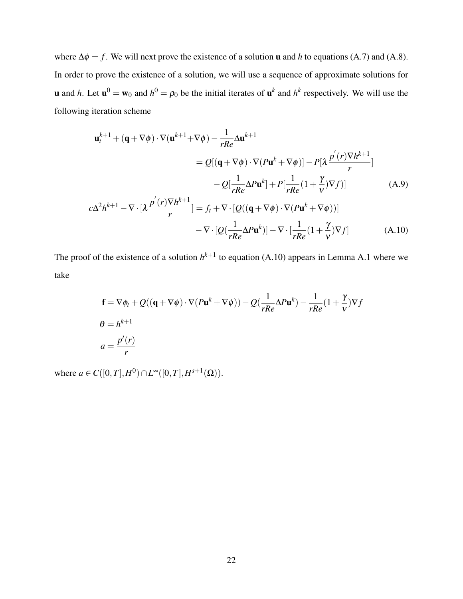where  $\Delta \phi = f$ . We will next prove the existence of a solution **u** and *h* to equations (A.7) and (A.8). In order to prove the existence of a solution, we will use a sequence of approximate solutions for **u** and *h*. Let  $\mathbf{u}^0 = \mathbf{w}_0$  and  $h^0 = \rho_0$  be the initial iterates of  $\mathbf{u}^k$  and  $h^k$  respectively. We will use the following iteration scheme

$$
\mathbf{u}_{t}^{k+1} + (\mathbf{q} + \nabla \phi) \cdot \nabla (\mathbf{u}^{k+1} + \nabla \phi) - \frac{1}{rRe} \Delta \mathbf{u}^{k+1}
$$
  
\n
$$
= Q[(\mathbf{q} + \nabla \phi) \cdot \nabla (P \mathbf{u}^{k} + \nabla \phi)] - P[\lambda \frac{p'(r) \nabla h^{k+1}}{r}]
$$
  
\n
$$
- Q[\frac{1}{rRe} \Delta P \mathbf{u}^{k}] + P[\frac{1}{rRe} (1 + \frac{\gamma}{\nu}) \nabla f)] \qquad (A.9)
$$
  
\n
$$
c \Delta^{2} h^{k+1} - \nabla \cdot [\lambda \frac{p'(r) \nabla h^{k+1}}{r}] = f_{t} + \nabla \cdot [Q((\mathbf{q} + \nabla \phi) \cdot \nabla (P \mathbf{u}^{k} + \nabla \phi))]
$$
  
\n
$$
- \nabla \cdot [Q(\frac{1}{rRe} \Delta P \mathbf{u}^{k})] - \nabla \cdot [\frac{1}{rRe} (1 + \frac{\gamma}{\nu}) \nabla f] \qquad (A.10)
$$

The proof of the existence of a solution  $h^{k+1}$  to equation (A.10) appears in Lemma A.1 where we take

$$
\mathbf{f} = \nabla \phi_t + Q((\mathbf{q} + \nabla \phi) \cdot \nabla (P \mathbf{u}^k + \nabla \phi)) - Q(\frac{1}{rRe} \Delta P \mathbf{u}^k) - \frac{1}{rRe} (1 + \frac{\gamma}{v}) \nabla f
$$
  
\n
$$
\theta = h^{k+1}
$$
  
\n
$$
a = \frac{p'(r)}{r}
$$

 $\text{where } a \in C([0, T], H^0) \cap L^{\infty}([0, T], H^{s+1}(\Omega)).$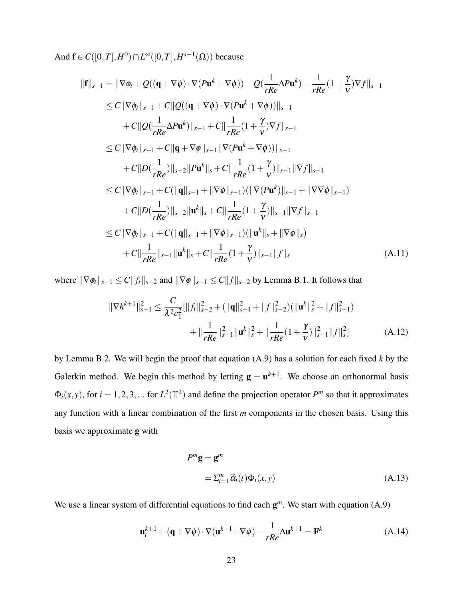And  $\mathbf{f} \in C([0,T], H^0) \cap L^{\infty}([0,T], H^{s-1}(\Omega))$  because

$$
\|\mathbf{f}\|_{s-1} = \|\nabla \phi_t + Q((\mathbf{q} + \nabla \phi) \cdot \nabla (P\mathbf{u}^k + \nabla \phi)) - Q(\frac{1}{rRe}\Delta P\mathbf{u}^k) - \frac{1}{rRe}(1 + \frac{\gamma}{\nu})\nabla f\|_{s-1} \n\leq C \|\nabla \phi_t\|_{s-1} + C \|\mathcal{Q}((\mathbf{q} + \nabla \phi) \cdot \nabla (P\mathbf{u}^k + \nabla \phi))\|_{s-1} \n+ C \|\mathcal{Q}(\frac{1}{rRe}\Delta P\mathbf{u}^k)\|_{s-1} + C \|\frac{1}{rRe}(1 + \frac{\gamma}{\nu})\nabla f\|_{s-1} \n\leq C \|\nabla \phi_t\|_{s-1} + C \|\mathbf{q} + \nabla \phi\|_{s-1} \|\nabla (P\mathbf{u}^k + \nabla \phi))\|_{s-1} \n+ C \|D(\frac{1}{rRe})\|_{s-2} \|P\mathbf{u}^k\|_{s} + C \|\frac{1}{rRe}(1 + \frac{\gamma}{\nu})\|_{s-1} \|\nabla f\|_{s-1} \n\leq C \|\nabla \phi_t\|_{s-1} + C (\|\mathbf{q}\|_{s-1} + \|\nabla \phi\|_{s-1}) (\|\nabla (P\mathbf{u}^k)\|_{s-1} + \|\nabla \nabla \phi\|_{s-1}) \n+ C \|D(\frac{1}{rRe})\|_{s-2} \|\mathbf{u}^k\|_{s} + C \|\frac{1}{rRe}(1 + \frac{\gamma}{\nu})\|_{s-1} \|\nabla f\|_{s-1} \n\leq C \|\nabla \phi_t\|_{s-1} + C (\|\mathbf{q}\|_{s-1} + \|\nabla \phi\|_{s-1}) (\|\mathbf{u}^k\|_{s} + \|\nabla \phi\|_{s}) \n+ C \|\frac{1}{rRe}\|_{s-1} \|\mathbf{u}^k\|_{s} + C \|\frac{1}{rRe}(1 + \frac{\gamma}{\nu})\|_{s-1} \|\mathbf{f}\|_{s}
$$
\n(A.11)

where  $\|\nabla \phi_t\|_{s-1} \leq C \|f_t\|_{s-2}$  and  $\|\nabla \phi\|_{s-1} \leq C \|f\|_{s-2}$  by Lemma B.1. It follows that

$$
\|\nabla h^{k+1}\|_{s-1}^2 \le \frac{C}{\lambda^2 c_1^2} [\|f_t\|_{s-2}^2 + (\|q\|_{s-1}^2 + \|f\|_{s-2}^2)(\|u^k\|_{s}^2 + \|f\|_{s-1}^2)
$$
  
 
$$
+ \|\frac{1}{rRe}\|_{s-1}^2 \|\mathbf{u}^k\|_{s}^2 + \|\frac{1}{rRe}(1 + \frac{\gamma}{\nu})\|_{s-1}^2 \|f\|_{s}^2] \tag{A.12}
$$

by Lemma B.2. We will begin the proof that equation (A.9) has a solution for each fixed *k* by the Galerkin method. We begin this method by letting  $g = u^{k+1}$ . We choose an orthonormal basis  $\Phi_i(x, y)$ , for  $i = 1, 2, 3, ...$  for  $L^2(\mathbb{T}^2)$  and define the projection operator *P*<sup>*m*</sup> so that it approximates any function with a linear combination of the first *m* components in the chosen basis. Using this basis we approximate g with

$$
P^{m}\mathbf{g} = \mathbf{g}^{m}
$$
  
=  $\sum_{i=1}^{m} \vec{\alpha}_{i}(t) \Phi_{i}(x, y)$  (A.13)

We use a linear system of differential equations to find each  $g^m$ . We start with equation (A.9)

$$
\mathbf{u}_{t}^{k+1} + (\mathbf{q} + \nabla \phi) \cdot \nabla (\mathbf{u}^{k+1} + \nabla \phi) - \frac{1}{rRe} \Delta \mathbf{u}^{k+1} = \mathbf{F}^{k}
$$
 (A.14)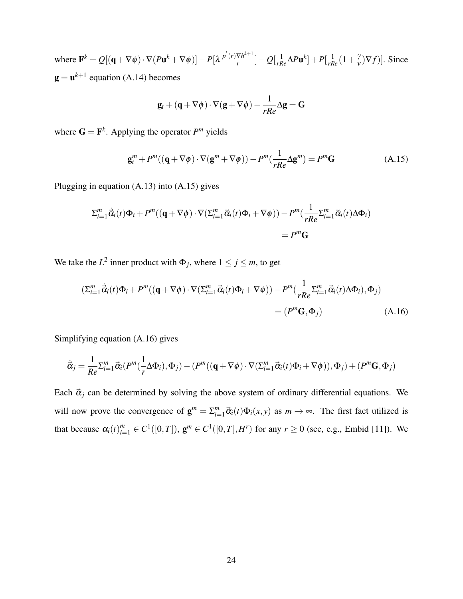where  $\mathbf{F}^k = Q[(\mathbf{q} + \nabla \phi) \cdot \nabla (P \mathbf{u}^k + \nabla \phi)] - P[\lambda \frac{p'(r) \nabla h^{k+1}}{r}]$  $\frac{\nabla h^{\kappa+1}}{r}]-Q[\frac{1}{rRe}\Delta P\mathbf{u}^k]+P[\frac{1}{rRe}(1+\frac{\gamma}{\nu})]$  $(\frac{\gamma}{V})\nabla f$ ]. Since  $\mathbf{g} = \mathbf{u}^{k+1}$  equation (A.14) becomes

$$
\mathbf{g}_t + (\mathbf{q} + \nabla \phi) \cdot \nabla (\mathbf{g} + \nabla \phi) - \frac{1}{rRe} \Delta \mathbf{g} = \mathbf{G}
$$

where  $\mathbf{G} = \mathbf{F}^k$ . Applying the operator  $P^m$  yields

$$
\mathbf{g}_{t}^{m} + P^{m}((\mathbf{q} + \nabla\phi) \cdot \nabla(\mathbf{g}^{m} + \nabla\phi)) - P^{m}(\frac{1}{rRe}\Delta\mathbf{g}^{m}) = P^{m}\mathbf{G}
$$
 (A.15)

Plugging in equation (A.13) into (A.15) gives

$$
\Sigma_{i=1}^{m} \dot{\vec{\alpha}}_{i}(t)\Phi_{i} + P^{m}((\mathbf{q} + \nabla\phi) \cdot \nabla(\Sigma_{i=1}^{m} \vec{\alpha}_{i}(t)\Phi_{i} + \nabla\phi)) - P^{m}(\frac{1}{rRe}\Sigma_{i=1}^{m} \vec{\alpha}_{i}(t)\Delta\Phi_{i})
$$
  
=  $P^{m}\mathbf{G}$ 

We take the  $L^2$  inner product with  $\Phi_j$ , where  $1 \le j \le m$ , to get

$$
\begin{split} \left(\Sigma_{i=1}^{m} \dot{\vec{\alpha}}_{i}(t)\Phi_{i} + P^{m}((\mathbf{q} + \nabla\phi) \cdot \nabla(\Sigma_{i=1}^{m} \vec{\alpha}_{i}(t)\Phi_{i} + \nabla\phi)) - P^{m}(\frac{1}{rRe} \Sigma_{i=1}^{m} \vec{\alpha}_{i}(t)\Delta\Phi_{i}), \Phi_{j} \right) \\ &= (P^{m}\mathbf{G}, \Phi_{j}) \end{split} \tag{A.16}
$$

Simplifying equation (A.16) gives

$$
\dot{\vec{\alpha}}_j = \frac{1}{Re} \Sigma_{i=1}^m \vec{\alpha}_i (P^m(\frac{1}{r} \Delta \Phi_i), \Phi_j) - (P^m((\mathbf{q} + \nabla \phi) \cdot \nabla (\Sigma_{i=1}^m \vec{\alpha}_i(t) \Phi_i + \nabla \phi)), \Phi_j) + (P^m \mathbf{G}, \Phi_j)
$$

Each  $\vec{\alpha}_j$  can be determined by solving the above system of ordinary differential equations. We will now prove the convergence of  $\mathbf{g}^m = \sum_{i=1}^m \vec{\alpha}_i(t) \Phi_i(x, y)$  as  $m \to \infty$ . The first fact utilized is that because  $\alpha_i(t)_{i=1}^m \in C^1([0,T])$ ,  $\mathbf{g}^m \in C^1([0,T], H^r)$  for any  $r \ge 0$  (see, e.g., Embid [11]). We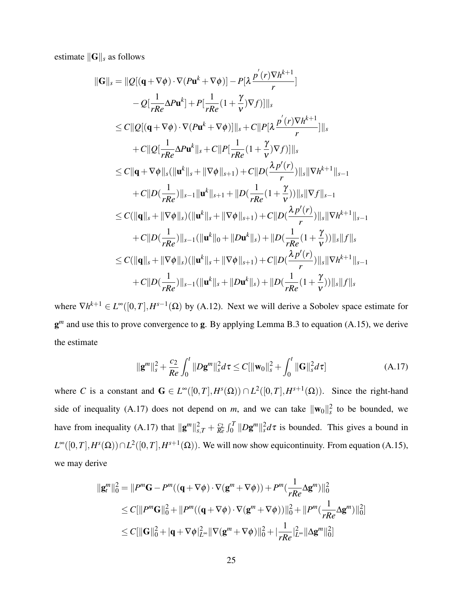estimate  $\|\mathbf{G}\|_{s}$  as follows

$$
\|G\|_{s} = \|Q[(\mathbf{q} + \nabla \phi) \cdot \nabla (P\mathbf{u}^{k} + \nabla \phi)] - P[\lambda \frac{p^{'}(r) \nabla h^{k+1}}{r}]
$$
  
\n
$$
- Q[\frac{1}{rRe} \Delta P \mathbf{u}^{k}] + P[\frac{1}{rRe} (1 + \frac{\gamma}{\nu}) \nabla f)]\|_{s}
$$
  
\n
$$
\leq C \|Q[(\mathbf{q} + \nabla \phi) \cdot \nabla (P\mathbf{u}^{k} + \nabla \phi)]\|_{s} + C \|P[\lambda \frac{p^{'}(r) \nabla h^{k+1}}{r}] \|_{s}
$$
  
\n
$$
+ C \|Q[\frac{1}{rRe} \Delta P \mathbf{u}^{k}\|_{s} + C \|P[\frac{1}{rRe} (1 + \frac{\gamma}{\nu}) \nabla f)]\|_{s}
$$
  
\n
$$
\leq C \|\mathbf{q} + \nabla \phi\|_{s} (\|\mathbf{u}^{k}\|_{s} + \|\nabla \phi\|_{s+1}) + C \|D(\frac{\lambda p^{'}(r)}{r})\|_{s} \|\nabla h^{k+1}\|_{s-1}
$$
  
\n
$$
+ C \|D(\frac{1}{rRe})\|_{s-1} \|\mathbf{u}^{k}\|_{s+1} + \|D(\frac{1}{rRe} (1 + \frac{\gamma}{\nu}))\|_{s} \|\nabla f\|_{s-1}
$$
  
\n
$$
\leq C (\|\mathbf{q}\|_{s} + \|\nabla \phi\|_{s}) (\|\mathbf{u}^{k}\|_{s} + \|\nabla \phi\|_{s+1}) + C \|D(\frac{\lambda p^{'}(r)}{r})\|_{s} \|\nabla h^{k+1}\|_{s-1}
$$
  
\n
$$
+ C \|D(\frac{1}{rRe})\|_{s-1} (\|\mathbf{u}^{k}\|_{0} + \|D\mathbf{u}^{k}\|_{s}) + \|D(\frac{1}{rRe} (1 + \frac{\gamma}{\nu}))\|_{s} \|f\|_{s}
$$
  
\n
$$
\leq C (\|\mathbf{q}\|_{s} + \|\nabla \phi\|_{s}) (\|\mathbf{u}^{k}\|_{s} + \|\nabla \phi\|_{s
$$

where  $\nabla h^{k+1} \in L^{\infty}([0,T], H^{s-1}(\Omega))$  by (A.12). Next we will derive a Sobolev space estimate for g<sup>*m*</sup> and use this to prove convergence to g. By applying Lemma B.3 to equation (A.15), we derive the estimate

$$
\|\mathbf{g}^{m}\|_{s}^{2} + \frac{c_{2}}{Re} \int_{0}^{t} \|D\mathbf{g}^{m}\|_{s}^{2} d\tau \leq C[\|\mathbf{w}_{0}\|_{s}^{2} + \int_{0}^{t} \|\mathbf{G}\|_{s}^{2} d\tau]
$$
 (A.17)

where *C* is a constant and  $G \in L^{\infty}([0,T], H^s(\Omega)) \cap L^2([0,T], H^{s+1}(\Omega))$ . Since the right-hand side of inequality (A.17) does not depend on *m*, and we can take  $\|\mathbf{w}_0\|_{s}^2$  to be bounded, we have from inequality (A.17) that  $\|\mathbf{g}^m\|_{s,T}^2 + \frac{c_2}{Re}$  $\frac{c_2}{Re} \int_0^T ||Dg^m||_s^2 d\tau$  is bounded. This gives a bound in  $L^{\infty}([0,T], H^s(\Omega)) \cap L^2([0,T], H^{s+1}(\Omega))$ . We will now show equicontinuity. From equation (A.15), we may derive

$$
\begin{aligned} ||\mathbf{g}_t^m||_0^2 &= ||P^m \mathbf{G} - P^m((\mathbf{q} + \nabla \phi) \cdot \nabla(\mathbf{g}^m + \nabla \phi)) + P^m(\frac{1}{rRe} \Delta \mathbf{g}^m) ||_0^2 \\ &\leq C[||P^m \mathbf{G}||_0^2 + ||P^m((\mathbf{q} + \nabla \phi) \cdot \nabla(\mathbf{g}^m + \nabla \phi))||_0^2 + ||P^m(\frac{1}{rRe} \Delta \mathbf{g}^m) ||_0^2] \\ &\leq C[||\mathbf{G}||_0^2 + |\mathbf{q} + \nabla \phi|_{L^\infty}^2 ||\nabla(\mathbf{g}^m + \nabla \phi)||_0^2 + |\frac{1}{rRe}|_{L^\infty}^2 ||\Delta \mathbf{g}^m||_0^2] \end{aligned}
$$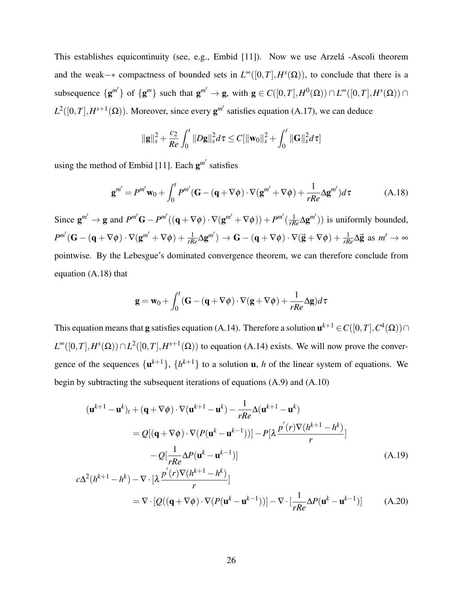This establishes equicontinuity (see, e.g., Embid [11]). Now we use Arzela -Ascoli theorem and the weak– $*$  compactness of bounded sets in  $L^{\infty}([0,T], H^{s}(\Omega))$ , to conclude that there is a subsequence  $\{g^{m'}\}$  of  $\{g^{m}\}$  such that  $g^{m'} \to g$ , with  $g \in C([0,T], H^0(\Omega)) \cap L^{\infty}([0,T], H^s(\Omega)) \cap$  $L^2([0,T], H^{s+1}(\Omega))$ . Moreover, since every  $\mathbf{g}^{m'}$  satisfies equation (A.17), we can deduce

$$
\|\mathbf{g}\|_{s}^{2}+\frac{c_{2}}{Re}\int_{0}^{t}\|D\mathbf{g}\|_{s}^{2}d\tau\leq C[\|\mathbf{w}_{0}\|_{s}^{2}+\int_{0}^{t}\|\mathbf{G}\|_{s}^{2}d\tau]
$$

using the method of Embid [11]. Each  $g^{m'}$  satisfies

$$
\mathbf{g}^{m'} = P^{m'} \mathbf{w}_0 + \int_0^t P^{m'} (\mathbf{G} - (\mathbf{q} + \nabla \phi) \cdot \nabla (\mathbf{g}^{m'} + \nabla \phi) + \frac{1}{rRe} \Delta \mathbf{g}^{m'} ) d\tau
$$
 (A.18)

Since  $\mathbf{g}^{m'} \to \mathbf{g}$  and  $P^{m'}\mathbf{G} - P^{m'}((\mathbf{q} + \nabla \phi) \cdot \nabla(\mathbf{g}^{m'} + \nabla \phi)) + P^{m'}(\frac{1}{rRe}\Delta \mathbf{g}^{m'})$  is uniformly bounded,  $P^{m'}(\mathbf{G} - (\mathbf{q} + \nabla \phi) \cdot \nabla (\mathbf{g}^{m'} + \nabla \phi) + \frac{1}{rRe} \Delta \mathbf{g}^{m'}) \rightarrow \mathbf{G} - (\mathbf{q} + \nabla \phi) \cdot \nabla (\mathbf{g} + \nabla \phi) + \frac{1}{rRe} \Delta \mathbf{g}$  as  $m' \rightarrow \infty$ pointwise. By the Lebesgue's dominated convergence theorem, we can therefore conclude from equation (A.18) that

$$
\mathbf{g} = \mathbf{w}_0 + \int_0^t (\mathbf{G} - (\mathbf{q} + \nabla \phi) \cdot \nabla (\mathbf{g} + \nabla \phi) + \frac{1}{rRe} \Delta \mathbf{g}) d\tau
$$

This equation means that **g** satisfies equation (A.14). Therefore a solution  $\mathbf{u}^{k+1} \in C([0,T], C^4(\Omega)) \cap$  $L^{\infty}([0,T], H^s(\Omega)) \cap L^2([0,T], H^{s+1}(\Omega))$  to equation (A.14) exists. We will now prove the convergence of the sequences  $\{u^{k+1}\}, \{h^{k+1}\}\$  to a solution **u**, *h* of the linear system of equations. We begin by subtracting the subsequent iterations of equations (A.9) and (A.10)

$$
(\mathbf{u}^{k+1} - \mathbf{u}^k)_t + (\mathbf{q} + \nabla \phi) \cdot \nabla (\mathbf{u}^{k+1} - \mathbf{u}^k) - \frac{1}{rRe} \Delta (\mathbf{u}^{k+1} - \mathbf{u}^k)
$$
  
\n
$$
= Q[(\mathbf{q} + \nabla \phi) \cdot \nabla (P(\mathbf{u}^k - \mathbf{u}^{k-1}))] - P[\lambda \frac{p'(r)\nabla (h^{k+1} - h^k)}{r}]
$$
  
\n
$$
-Q[\frac{1}{rRe}\Delta P(\mathbf{u}^k - \mathbf{u}^{k-1})]
$$
  
\n
$$
c\Delta^2 (h^{k+1} - h^k) - \nabla \cdot [\lambda \frac{p'(r)\nabla (h^{k+1} - h^k)}{r}]
$$
  
\n
$$
= \nabla \cdot [Q((\mathbf{q} + \nabla \phi) \cdot \nabla (P(\mathbf{u}^k - \mathbf{u}^{k-1}))] - \nabla \cdot [\frac{1}{rRe}\Delta P(\mathbf{u}^k - \mathbf{u}^{k-1})]
$$
(A.20)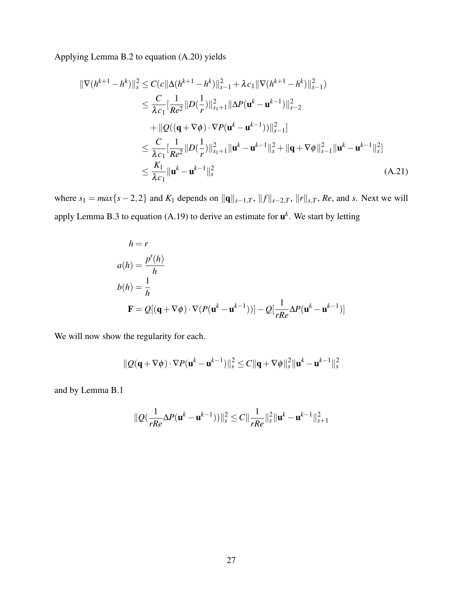Applying Lemma B.2 to equation (A.20) yields

$$
\begin{split} \|\nabla (h^{k+1} - h^k)\|_{s}^{2} &\leq C(c\|\Delta (h^{k+1} - h^k)\|_{s-1}^{2} + \lambda c_{1} \|\nabla (h^{k+1} - h^k)\|_{s-1}^{2}) \\ &\leq \frac{C}{\lambda c_{1}} [\frac{1}{Re^{2}} \|D(\frac{1}{r})\|_{s_{1}+1}^{2} \|\Delta P(\mathbf{u}^{k} - \mathbf{u}^{k-1})\|_{s-2}^{2} \\ &\quad + \|Q((\mathbf{q} + \nabla \phi) \cdot \nabla P(\mathbf{u}^{k} - \mathbf{u}^{k-1}))\|_{s-1}^{2}] \\ &\leq \frac{C}{\lambda c_{1}} [\frac{1}{Re^{2}} \|D(\frac{1}{r})\|_{s_{1}+1}^{2} \|\mathbf{u}^{k} - \mathbf{u}^{k-1}\|_{s}^{2} + \|\mathbf{q} + \nabla \phi\|_{s-1}^{2} \|\mathbf{u}^{k} - \mathbf{u}^{k-1}\|_{s}^{2}] \\ &\leq \frac{K_{1}}{\lambda c_{1}} \|\mathbf{u}^{k} - \mathbf{u}^{k-1}\|_{s}^{2} \end{split} \tag{A.21}
$$

where  $s_1 = max\{s-2, 2\}$  and  $K_1$  depends on  $||\mathbf{q}||_{s-1,T}$ ,  $||f||_{s-2,T}$ ,  $||r||_{s,T}$ , Re, and *s*. Next we will apply Lemma B.3 to equation  $(A.19)$  to derive an estimate for  $\mathbf{u}^k$ . We start by letting

$$
h = r
$$
  
\n
$$
a(h) = \frac{p'(h)}{h}
$$
  
\n
$$
b(h) = \frac{1}{h}
$$
  
\n
$$
\mathbf{F} = Q[(\mathbf{q} + \nabla\phi) \cdot \nabla(P(\mathbf{u}^{k} - \mathbf{u}^{k-1}))] - Q[\frac{1}{rRe}\Delta P(\mathbf{u}^{k} - \mathbf{u}^{k-1})]
$$

We will now show the regularity for each.

$$
\|Q(\mathbf{q}+\nabla\phi)\cdot\nabla P(\mathbf{u}^k-\mathbf{u}^{k-1})\|_{s}^{2} \leq C\|\mathbf{q}+\nabla\phi\|_{s}^{2}\|\mathbf{u}^k-\mathbf{u}^{k-1}\|_{s}^{2}
$$

and by Lemma B.1

$$
\| \mathcal{Q} (\frac{1}{r Re} \Delta P ({\bf u}^{k} - {\bf u}^{k-1})) \|_s^2 \leq C \| \frac{1}{r Re} \|_s^2 \| {\bf u}^{k} - {\bf u}^{k-1} \|_{s+1}^2
$$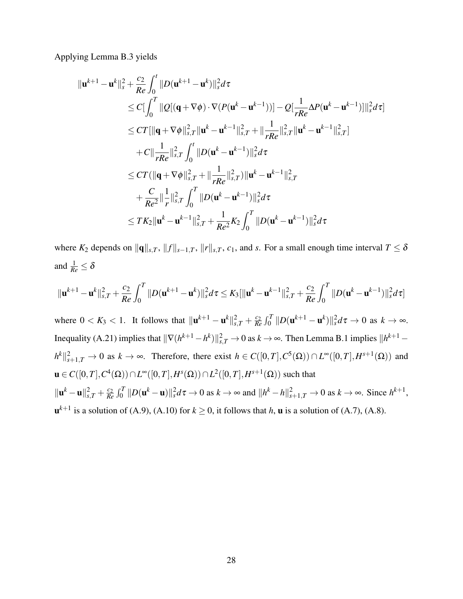Applying Lemma B.3 yields

$$
\|\mathbf{u}^{k+1} - \mathbf{u}^{k}\|_{s}^{2} + \frac{c_{2}}{Re} \int_{0}^{t} \|D(\mathbf{u}^{k+1} - \mathbf{u}^{k})\|_{s}^{2} d\tau
$$
\n
$$
\leq C \Big[\int_{0}^{T} \|Q[(\mathbf{q} + \nabla \phi) \cdot \nabla (P(\mathbf{u}^{k} - \mathbf{u}^{k-1}))] - Q[\frac{1}{rRe} \Delta P(\mathbf{u}^{k} - \mathbf{u}^{k-1})]\|_{s}^{2} d\tau]
$$
\n
$$
\leq CT [\|\mathbf{q} + \nabla \phi\|_{s,T}^{2} \|\mathbf{u}^{k} - \mathbf{u}^{k-1}\|_{s,T}^{2} + \|\frac{1}{rRe} \|\frac{2}{s,T}\|\mathbf{u}^{k} - \mathbf{u}^{k-1}\|_{s,T}^{2}]
$$
\n
$$
+ C \|\frac{1}{rRe} \|\frac{2}{s,T} \int_{0}^{t} \|D(\mathbf{u}^{k} - \mathbf{u}^{k-1})\|_{s}^{2} d\tau
$$
\n
$$
\leq CT (\|\mathbf{q} + \nabla \phi\|_{s,T}^{2} + \|\frac{1}{rRe} \|\frac{2}{s,T})\|\mathbf{u}^{k} - \mathbf{u}^{k-1}\|_{s,T}^{2}
$$
\n
$$
+ \frac{C}{Re^{2}} \|\frac{1}{r}\|_{s,T}^{2} \int_{0}^{T} \|D(\mathbf{u}^{k} - \mathbf{u}^{k-1})\|_{s}^{2} d\tau
$$
\n
$$
\leq TK_{2} \|\mathbf{u}^{k} - \mathbf{u}^{k-1}\|_{s,T}^{2} + \frac{1}{Re^{2}} K_{2} \int_{0}^{T} \|D(\mathbf{u}^{k} - \mathbf{u}^{k-1})\|_{s}^{2} d\tau
$$

where  $K_2$  depends on  $\|\mathbf{q}\|_{s,T}$ ,  $\|f\|_{s-1,T}$ ,  $\|r\|_{s,T}$ ,  $c_1$ , and *s*. For a small enough time interval  $T \leq \delta$ and  $\frac{1}{Re} \leq \delta$ 

$$
\|\mathbf{u}^{k+1}-\mathbf{u}^{k}\|_{s,T}^2+\frac{c_2}{Re}\int_0^T\|D(\mathbf{u}^{k+1}-\mathbf{u}^{k})\|_{s}^2d\tau\leq K_3[\|\mathbf{u}^{k}-\mathbf{u}^{k-1}\|_{s,T}^2+\frac{c_2}{Re}\int_0^T\|D(\mathbf{u}^{k}-\mathbf{u}^{k-1})\|_{s}^2d\tau]
$$

where  $0 < K_3 < 1$ . It follows that  $||\mathbf{u}^{k+1} - \mathbf{u}^k||_{s,T}^2 + \frac{c_2}{Re}$  $\frac{c_2}{Re} \int_0^T \|D(\mathbf{u}^{k+1} - \mathbf{u}^k)\|_s^2 d\tau \to 0 \text{ as } k \to \infty.$ Inequality (A.21) implies that  $\|\nabla (h^{k+1}-h^k)\|_{s,T}^2 \to 0$  as  $k \to \infty$ . Then Lemma B.1 implies  $\|h^{k+1}-h^k\|_{s,T}^2$  $h^k\|_{s+1,T}^2 \to 0$  as  $k \to \infty$ . Therefore, there exist  $h \in C([0,T], C^5(\Omega)) \cap L^{\infty}([0,T], H^{s+1}(\Omega))$  and  **such that**  $||\mathbf{u}^k - \mathbf{u}||_{s,T}^2 + \frac{c_2}{Re}$  $\frac{c_2}{Re} \int_0^T \|D(\mathbf{u}^k - \mathbf{u})\|_s^2 d\tau \to 0$  as  $k \to \infty$  and  $\|h^k - h\|_{s+1,T}^2 \to 0$  as  $k \to \infty$ . Since  $h^{k+1}$ ,  $\mathbf{u}^{k+1}$  is a solution of (A.9), (A.10) for  $k \geq 0$ , it follows that *h*, **u** is a solution of (A.7), (A.8).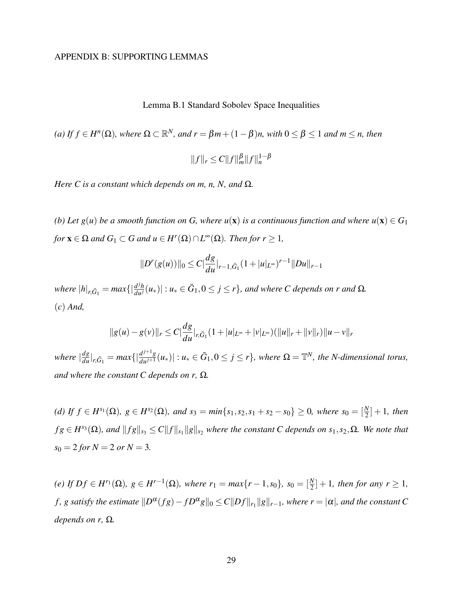## APPENDIX B: SUPPORTING LEMMAS

Lemma B.1 Standard Sobolev Space Inequalities

(a) If 
$$
f \in H^n(\Omega)
$$
, where  $\Omega \subset \mathbb{R}^N$ , and  $r = \beta m + (1 - \beta)n$ , with  $0 \le \beta \le 1$  and  $m \le n$ , then  

$$
||f||_r \le C||f||_m^{\beta}||f||_n^{1-\beta}
$$

*Here C is a constant which depends on m, n, N, and* Ω*.*

*(b)* Let  $g(u)$  be a smooth function on G, where  $u(\mathbf{x})$  is a continuous function and where  $u(\mathbf{x}) \in G_1$  $f \circ r \mathbf{x} \in \Omega$  and  $G_1 \subset G$  and  $u \in H^r(\Omega) \cap L^\infty(\Omega)$ . Then for  $r \geq 1$ ,

$$
||D^{r}(g(u))||_{0} \leq C\left|\frac{dg}{du}\right|_{r-1,\bar{G}_{1}}(1+|u|_{L^{\infty}})^{r-1}||Du||_{r-1}
$$

 $\mathbb{R}^d$  *where*  $|h|_{r,\bar{G}_1} = \max\{|\frac{d^jh}{du^j}(u_*)| : u_* \in \bar{G}_1, 0 \leq j \leq r\}$ , and where C depends on r and  $\Omega$ . (*c*) *And,*

$$
||g(u)-g(v)||_r \leq C \left|\frac{dg}{du}\right|_{r,\bar{G}_1}(1+|u|_{L^{\infty}}+|v|_{L^{\infty}})(||u||_r+||v||_r)||u-v||_r
$$

*where*  $|\frac{dg}{du}|_{r,\bar{G}_1} = max\{|\frac{d^{j+1}g}{du^{j+1}}\}$  $\frac{d^{j+1}g}{du^{j+1}}(u_*)$  :  $u_* \in \bar{G}_1, 0 \le j \le r\}$ , where  $\Omega = \mathbb{T}^N$ , the N-dimensional torus, *and where the constant C depends on r,* Ω*.*

 $f$  *d)* If  $f$  ∈  $H^{s_1}(\Omega)$ *,*  $g$  ∈  $H^{s_2}(\Omega)$ *, and*  $s_3 = min{s_1, s_2, s_1 + s_2 - s_0} ≥ 0$ *, where*  $s_0 = \frac{N}{2} + 1$ *, then*  $fg \in H^{s_3}(\Omega)$ , and  $||fg||_{s_3} \leq C||f||_{s_1}||g||_{s_2}$  where the constant C depends on  $s_1, s_2, \Omega$ *. We note that*  $s_0 = 2$  *for*  $N = 2$  *or*  $N = 3$ *.* 

 $f(e)$  *If*  $Df \in H^{r_1}(\Omega)$ *,*  $g \in H^{r-1}(\Omega)$ *, where*  $r_1 = max\{r - 1, s_0\}$ *,*  $s_0 = \left[\frac{N}{2}\right] + 1$ *, then for any*  $r \ge 1$ *,* f, g satisfy the estimate  $\|D^{\alpha}(fg) - fD^{\alpha}g\|_0 \leq C\|Df\|_{r_1}\|g\|_{r-1}$ , where  $r = |\alpha|$ , and the constant  $C$ *depends on r,* Ω*.*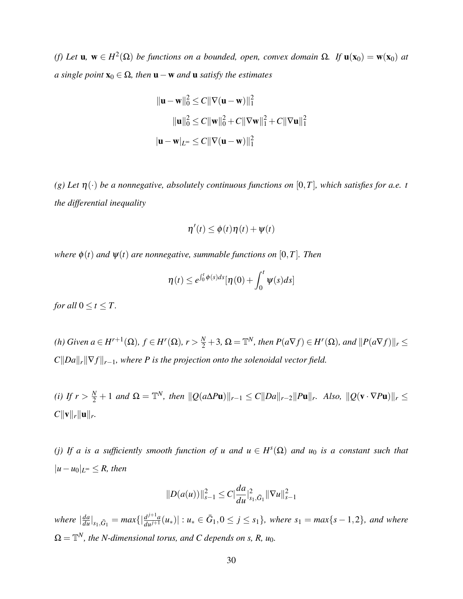(*f*) *Let* **u**, **w** ∈ *H*<sup>2</sup>(Ω) *be functions on a bounded, open, convex domain* Ω*. If* **u**(**x**<sub>0</sub>) = **w**(**x**<sub>0</sub>) *at*  $$ 

$$
\|\mathbf{u} - \mathbf{w}\|_{0}^{2} \le C \|\nabla(\mathbf{u} - \mathbf{w})\|_{1}^{2}
$$

$$
\|\mathbf{u}\|_{0}^{2} \le C \|\mathbf{w}\|_{0}^{2} + C \|\nabla \mathbf{w}\|_{1}^{2} + C \|\nabla \mathbf{u}\|_{1}^{2}
$$

$$
|\mathbf{u} - \mathbf{w}|_{L^{\infty}} \le C \|\nabla(\mathbf{u} - \mathbf{w})\|_{1}^{2}
$$

*(g) Let* η(·) *be a nonnegative, absolutely continuous functions on* [0,*T*]*, which satisfies for a.e. t the differential inequality*

$$
\eta'(t) \leq \phi(t)\eta(t) + \psi(t)
$$

*where*  $\phi(t)$  *and*  $\psi(t)$  *are nonnegative, summable functions on* [0,*T*]*. Then* 

$$
\eta(t) \leq e^{\int_0^t \phi(s)ds} [\eta(0) + \int_0^t \psi(s)ds]
$$

*for all*  $0 \le t \le T$ *.* 

(h) Given  $a \in H^{r+1}(\Omega)$ ,  $f \in H^r(\Omega)$ ,  $r > \frac{N}{2} + 3$ ,  $\Omega = \mathbb{T}^N$ , then  $P(a\nabla f) \in H^r(\Omega)$ , and  $||P(a\nabla f)||_r \le$  $C||Da||<sub>r</sub>||\nabla f||<sub>r-1</sub>$ *, where P is the projection onto the solenoidal vector field.* 

 $\|H\|_r \leq R(r) \leq \frac{N}{2} + 1$  *and*  $\Omega = \mathbb{T}^N$ , *then*  $\|Q(a\Delta P\mathbf{u})\|_{r-1} \leq C \|Da\|_{r-2} \|Pu\|_r$ . Also,  $\|Q(\mathbf{v} \cdot \nabla P\mathbf{u})\|_r \leq R(r) \leq C \|Da\|_{r-1}$  $C||{\bf v}||_r||{\bf u}||_r.$ 

*(j)* If a is a sufficiently smooth function of u and  $u \in H<sup>s</sup>(\Omega)$  and  $u_0$  is a constant such that  $|u - u_0|$ <sub>*L*∞</sub> ≤ *R, then* 

$$
||D(a(u))||_{s-1}^{2} \leq C \left|\frac{da}{du}\right|_{s_1,\bar{G}_1}^{2} ||\nabla u||_{s-1}^{2}
$$

*where*  $|\frac{da}{du}|_{s_1,\bar{G}_1} = max\{|\frac{d^{j+1}a}{du^{j+1}}\}$  $\frac{d^{j+1}a}{du^{j+1}}(u_*)$  :  $u_* \in \bar{G}_1, 0 \le j \le s_1$ , where  $s_1 = max\{s-1,2\}$ , and where  $\Omega = \mathbb{T}^N$ , the N-dimensional torus, and C depends on s, R,  $u_0$ .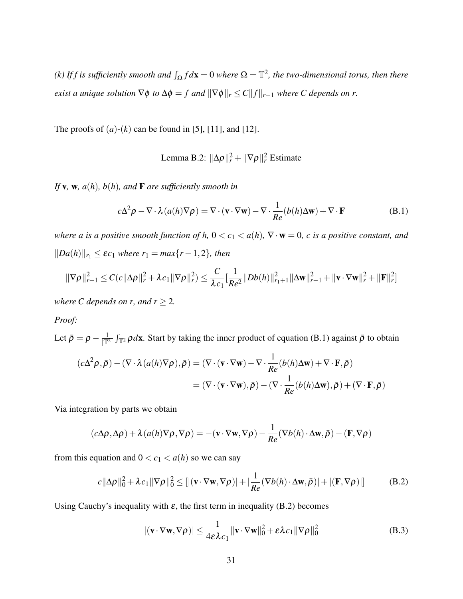*(k)* If f is sufficiently smooth and  $\int_{\Omega} f d\mathbf{x} = 0$  where  $\Omega = \mathbb{T}^2$ , the two-dimensional torus, then there *exist a unique solution*  $\nabla \phi$  *to*  $\Delta \phi = f$  *and*  $\|\nabla \phi\|_r \leq C \|f\|_{r-1}$  *where C* depends on r.

The proofs of  $(a)-(k)$  can be found in [5], [11], and [12].

Lemma B.2:  $\|\Delta \rho\|_r^2 + \|\nabla \rho\|_r^2$  Estimate

*If* v*,* w*, a*(*h*)*, b*(*h*)*, and* F *are sufficiently smooth in*

$$
c\Delta^2 \rho - \nabla \cdot \lambda (a(h)\nabla \rho) = \nabla \cdot (\mathbf{v} \cdot \nabla \mathbf{w}) - \nabla \cdot \frac{1}{Re}(b(h)\Delta \mathbf{w}) + \nabla \cdot \mathbf{F}
$$
 (B.1)

*where a is a positive smooth function of h,*  $0 < c_1 < a(h)$ ,  $\nabla \cdot \mathbf{w} = 0$ , c is a positive constant, and  $||Da(h)||_{r_1} ≤ \varepsilon c_1$  *where*  $r_1 = max\{r - 1, 2\}$ *, then* 

$$
\|\nabla \rho\|_{r+1}^2 \leq C(c\|\Delta \rho\|_r^2 + \lambda c_1 \|\nabla \rho\|_r^2) \leq \frac{C}{\lambda c_1} \Big[\frac{1}{Re^2}||Db(h)||_{r_1+1}^2 \|\Delta \mathbf{w}\|_{r-1}^2 + \|\mathbf{v} \cdot \nabla \mathbf{w}\|_r^2 + \|\mathbf{F}\|_r^2\Big]
$$

*where C depends on r, and*  $r \geq 2$ *.* 

# *Proof:*

Let  $\bar{\rho} = \rho - \frac{1}{|\mathbb{T}^2|} \int_{\mathbb{T}^2} \rho d\mathbf{x}$ . Start by taking the inner product of equation (B.1) against  $\bar{\rho}$  to obtain

$$
(c\Delta^2 \rho, \bar{\rho}) - (\nabla \cdot \lambda (a(h)\nabla \rho), \bar{\rho}) = (\nabla \cdot (\mathbf{v} \cdot \nabla \mathbf{w}) - \nabla \cdot \frac{1}{Re}(b(h)\Delta \mathbf{w}) + \nabla \cdot \mathbf{F}, \bar{\rho})
$$
  
= (\nabla \cdot (\mathbf{v} \cdot \nabla \mathbf{w}), \bar{\rho}) - (\nabla \cdot \frac{1}{Re}(b(h)\Delta \mathbf{w}), \bar{\rho}) + (\nabla \cdot \mathbf{F}, \bar{\rho})

Via integration by parts we obtain

$$
(c\Delta \rho, \Delta \rho) + \lambda (a(h)\nabla \rho, \nabla \rho) = -(\mathbf{v} \cdot \nabla \mathbf{w}, \nabla \rho) - \frac{1}{Re}(\nabla b(h) \cdot \Delta \mathbf{w}, \bar{\rho}) - (\mathbf{F}, \nabla \rho)
$$

from this equation and  $0 < c_1 < a(h)$  so we can say

$$
c||\Delta \rho||_0^2 + \lambda c_1 ||\nabla \rho||_0^2 \le ||(\mathbf{v} \cdot \nabla \mathbf{w}, \nabla \rho)| + |\frac{1}{Re}(\nabla b(h) \cdot \Delta \mathbf{w}, \bar{\rho})| + |(\mathbf{F}, \nabla \rho)|| \tag{B.2}
$$

Using Cauchy's inequality with  $\varepsilon$ , the first term in inequality (B.2) becomes

$$
|(\mathbf{v} \cdot \nabla \mathbf{w}, \nabla \rho)| \le \frac{1}{4\varepsilon \lambda c_1} ||\mathbf{v} \cdot \nabla \mathbf{w}||_0^2 + \varepsilon \lambda c_1 ||\nabla \rho||_0^2
$$
 (B.3)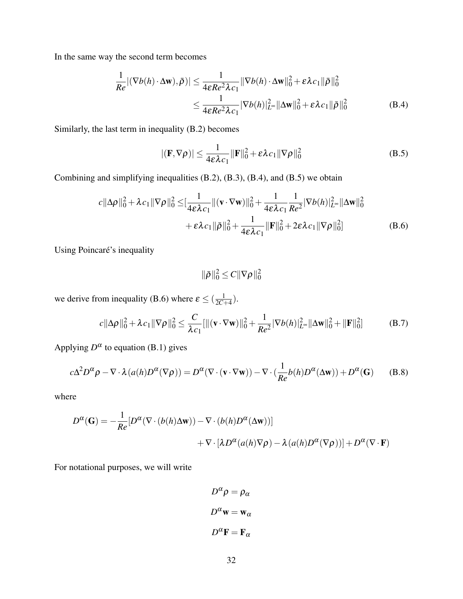In the same way the second term becomes

$$
\frac{1}{Re} |(\nabla b(h) \cdot \Delta \mathbf{w}), \bar{\rho})| \le \frac{1}{4\varepsilon Re^2 \lambda c_1} \|\nabla b(h) \cdot \Delta \mathbf{w}\|_0^2 + \varepsilon \lambda c_1 \|\bar{\rho}\|_0^2
$$
  

$$
\le \frac{1}{4\varepsilon Re^2 \lambda c_1} |\nabla b(h)|_{L^{\infty}}^2 \|\Delta \mathbf{w}\|_0^2 + \varepsilon \lambda c_1 \|\bar{\rho}\|_0^2
$$
 (B.4)

Similarly, the last term in inequality (B.2) becomes

$$
|(\mathbf{F}, \nabla \rho)| \le \frac{1}{4\varepsilon \lambda c_1} \|\mathbf{F}\|_0^2 + \varepsilon \lambda c_1 \|\nabla \rho\|_0^2
$$
 (B.5)

Combining and simplifying inequalities (B.2), (B.3), (B.4), and (B.5) we obtain

$$
c||\Delta \rho||_0^2 + \lambda c_1 ||\nabla \rho||_0^2 \leq \left[\frac{1}{4\varepsilon\lambda c_1} ||(\mathbf{v} \cdot \nabla \mathbf{w})||_0^2 + \frac{1}{4\varepsilon\lambda c_1} \frac{1}{Re^2} |\nabla b(h)|_{L^\infty}^2 ||\Delta \mathbf{w}||_0^2 + \varepsilon \lambda c_1 ||\bar{\rho}||_0^2 + \frac{1}{4\varepsilon\lambda c_1} ||\mathbf{F}||_0^2 + 2\varepsilon \lambda c_1 ||\nabla \rho||_0^2\right]
$$
(B.6)

Using Poincaré's inequality

$$
\|\bar{\rho}\|_0^2 \leq C \|\nabla \rho\|_0^2
$$

we derive from inequality (B.6) where  $\varepsilon \leq (\frac{1}{2C})$  $\frac{1}{2C+4}$ .

$$
c||\Delta \rho||_0^2 + \lambda c_1 ||\nabla \rho||_0^2 \le \frac{C}{\lambda c_1} [||(\mathbf{v} \cdot \nabla \mathbf{w})||_0^2 + \frac{1}{Re^2} |\nabla b(h)|_{L^\infty}^2 ||\Delta \mathbf{w}||_0^2 + ||\mathbf{F}||_0^2]
$$
(B.7)

Applying  $D^{\alpha}$  to equation (B.1) gives

$$
c\Delta^2 D^{\alpha}\rho - \nabla \cdot \lambda (a(h)D^{\alpha}(\nabla \rho)) = D^{\alpha}(\nabla \cdot (\mathbf{v} \cdot \nabla \mathbf{w})) - \nabla \cdot (\frac{1}{Re}b(h)D^{\alpha}(\Delta \mathbf{w})) + D^{\alpha}(\mathbf{G})
$$
 (B.8)

where

$$
D^{\alpha}(\mathbf{G}) = -\frac{1}{Re} [D^{\alpha}(\nabla \cdot (b(h)\Delta \mathbf{w})) - \nabla \cdot (b(h)D^{\alpha}(\Delta \mathbf{w}))]
$$
  
+  $\nabla \cdot [\lambda D^{\alpha}(a(h)\nabla \rho) - \lambda (a(h)D^{\alpha}(\nabla \rho))] + D^{\alpha}(\nabla \cdot \mathbf{F})$ 

For notational purposes, we will write

$$
D^{\alpha} \rho = \rho_{\alpha}
$$

$$
D^{\alpha} \mathbf{w} = \mathbf{w}_{\alpha}
$$

$$
D^{\alpha} \mathbf{F} = \mathbf{F}_{\alpha}
$$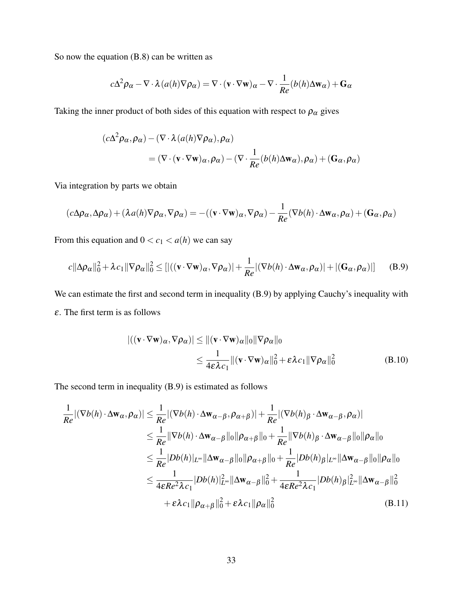So now the equation (B.8) can be written as

$$
c\Delta^2 \rho_\alpha - \nabla \cdot \lambda (a(h)\nabla \rho_\alpha) = \nabla \cdot (\mathbf{v} \cdot \nabla \mathbf{w})_\alpha - \nabla \cdot \frac{1}{Re}(b(h)\Delta \mathbf{w}_\alpha) + \mathbf{G}_\alpha
$$

Taking the inner product of both sides of this equation with respect to  $\rho_{\alpha}$  gives

$$
(c\Delta^2 \rho_{\alpha}, \rho_{\alpha}) - (\nabla \cdot \lambda (a(h)\nabla \rho_{\alpha}), \rho_{\alpha})
$$
  
= (\nabla \cdot (\mathbf{v} \cdot \nabla \mathbf{w})\_{\alpha}, \rho\_{\alpha}) - (\nabla \cdot \frac{1}{Re}(b(h)\Delta \mathbf{w}\_{\alpha}), \rho\_{\alpha}) + (\mathbf{G}\_{\alpha}, \rho\_{\alpha})

Via integration by parts we obtain

$$
(c\Delta \rho_\alpha, \Delta \rho_\alpha) + (\lambda a(h)\nabla \rho_\alpha, \nabla \rho_\alpha) = -((\mathbf{v} \cdot \nabla \mathbf{w})_\alpha, \nabla \rho_\alpha) - \frac{1}{Re}(\nabla b(h) \cdot \Delta \mathbf{w}_\alpha, \rho_\alpha) + (\mathbf{G}_\alpha, \rho_\alpha)
$$

From this equation and  $0 < c_1 < a(h)$  we can say

$$
c||\Delta \rho_{\alpha}||_{0}^{2} + \lambda c_{1}||\nabla \rho_{\alpha}||_{0}^{2} \leq [|\langle (\mathbf{v} \cdot \nabla \mathbf{w})_{\alpha}, \nabla \rho_{\alpha} \rangle| + \frac{1}{Re}|\langle \nabla b(h) \cdot \Delta \mathbf{w}_{\alpha}, \rho_{\alpha} \rangle| + |\langle \mathbf{G}_{\alpha}, \rho_{\alpha} \rangle|] \quad (B.9)
$$

We can estimate the first and second term in inequality (B.9) by applying Cauchy's inequality with  $\varepsilon$ . The first term is as follows

$$
\left| \left( (\mathbf{v} \cdot \nabla \mathbf{w})_{\alpha}, \nabla \rho_{\alpha} \right) \right| \leq \| (\mathbf{v} \cdot \nabla \mathbf{w})_{\alpha} \|_{0} \| \nabla \rho_{\alpha} \|_{0}
$$
  
\n
$$
\leq \frac{1}{4 \varepsilon \lambda c_{1}} \| (\mathbf{v} \cdot \nabla \mathbf{w})_{\alpha} \|_{0}^{2} + \varepsilon \lambda c_{1} \| \nabla \rho_{\alpha} \|_{0}^{2}
$$
(B.10)

The second term in inequality (B.9) is estimated as follows

$$
\frac{1}{Re} |(\nabla b(h) \cdot \Delta \mathbf{w}_{\alpha}, \rho_{\alpha})| \leq \frac{1}{Re} |(\nabla b(h) \cdot \Delta \mathbf{w}_{\alpha-\beta}, \rho_{\alpha+\beta})| + \frac{1}{Re} |(\nabla b(h)_{\beta} \cdot \Delta \mathbf{w}_{\alpha-\beta}, \rho_{\alpha})|
$$
\n
$$
\leq \frac{1}{Re} ||\nabla b(h) \cdot \Delta \mathbf{w}_{\alpha-\beta}||_0 ||\rho_{\alpha+\beta}||_0 + \frac{1}{Re} ||\nabla b(h)_{\beta} \cdot \Delta \mathbf{w}_{\alpha-\beta}||_0 ||\rho_{\alpha}||_0
$$
\n
$$
\leq \frac{1}{Re} |Db(h)|_{L^{\infty}} ||\Delta \mathbf{w}_{\alpha-\beta}||_0 ||\rho_{\alpha+\beta}||_0 + \frac{1}{Re} |Db(h)_{\beta}|_{L^{\infty}} ||\Delta \mathbf{w}_{\alpha-\beta}||_0 ||\rho_{\alpha}||_0
$$
\n
$$
\leq \frac{1}{4\epsilon Re^2 \lambda c_1} |Db(h)|_{L^{\infty}}^2 ||\Delta \mathbf{w}_{\alpha-\beta}||_0^2 + \frac{1}{4\epsilon Re^2 \lambda c_1} |Db(h)_{\beta}|_{L^{\infty}}^2 ||\Delta \mathbf{w}_{\alpha-\beta}||_0^2
$$
\n
$$
+ \epsilon \lambda c_1 ||\rho_{\alpha+\beta}||_0^2 + \epsilon \lambda c_1 ||\rho_{\alpha}||_0^2
$$
\n(B.11)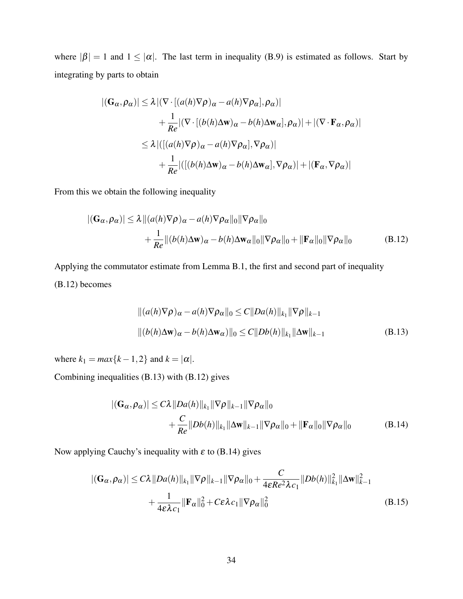where  $|\beta| = 1$  and  $1 \leq |\alpha|$ . The last term in inequality (B.9) is estimated as follows. Start by integrating by parts to obtain

$$
|(\mathbf{G}_{\alpha}, \rho_{\alpha})| \leq \lambda |(\nabla \cdot [(a(h)\nabla \rho)_{\alpha} - a(h)\nabla \rho_{\alpha}], \rho_{\alpha})|
$$
  
+ 
$$
\frac{1}{Re} |(\nabla \cdot [(b(h)\Delta \mathbf{w})_{\alpha} - b(h)\Delta \mathbf{w}_{\alpha}], \rho_{\alpha})| + |(\nabla \cdot \mathbf{F}_{\alpha}, \rho_{\alpha})|
$$
  

$$
\leq \lambda |([(a(h)\nabla \rho)_{\alpha} - a(h)\nabla \rho_{\alpha}], \nabla \rho_{\alpha})|
$$
  
+ 
$$
\frac{1}{Re} |([(b(h)\Delta \mathbf{w})_{\alpha} - b(h)\Delta \mathbf{w}_{\alpha}], \nabla \rho_{\alpha})| + |(\mathbf{F}_{\alpha}, \nabla \rho_{\alpha})|
$$

From this we obtain the following inequality

$$
|(\mathbf{G}_{\alpha}, \rho_{\alpha})| \leq \lambda ||(a(h)\nabla \rho)_{\alpha} - a(h)\nabla \rho_{\alpha}||_{0} \|\nabla \rho_{\alpha}||_{0} + \frac{1}{Re} ||(b(h)\Delta \mathbf{w})_{\alpha} - b(h)\Delta \mathbf{w}_{\alpha}||_{0} \|\nabla \rho_{\alpha}||_{0} + \|\mathbf{F}_{\alpha}||_{0} \|\nabla \rho_{\alpha}||_{0}
$$
(B.12)

Applying the commutator estimate from Lemma B.1, the first and second part of inequality (B.12) becomes

$$
||(a(h)\nabla \rho)_\alpha - a(h)\nabla \rho_\alpha||_0 \le C||Da(h)||_{k_1}||\nabla \rho||_{k-1}
$$
  
 
$$
||(b(h)\Delta \mathbf{w})_\alpha - b(h)\Delta \mathbf{w}_\alpha)||_0 \le C||Db(h)||_{k_1}||\Delta \mathbf{w}||_{k-1}
$$
 (B.13)

where  $k_1 = max\{k-1, 2\}$  and  $k = |\alpha|$ .

Combining inequalities (B.13) with (B.12) gives

$$
|(\mathbf{G}_{\alpha}, \rho_{\alpha})| \le C\lambda ||Da(h)||_{k_1} ||\nabla \rho||_{k-1} ||\nabla \rho_{\alpha}||_0
$$
  
+  $\frac{C}{Re} ||Db(h)||_{k_1} ||\Delta \mathbf{w}||_{k-1} ||\nabla \rho_{\alpha}||_0 + ||\mathbf{F}_{\alpha}||_0 ||\nabla \rho_{\alpha}||_0$  (B.14)

Now applying Cauchy's inequality with  $\varepsilon$  to (B.14) gives

$$
|(\mathbf{G}_{\alpha}, \rho_{\alpha})| \leq C\lambda ||Da(h)||_{k_1} ||\nabla \rho||_{k-1} ||\nabla \rho_{\alpha}||_0 + \frac{C}{4\epsilon Re^2 \lambda c_1} ||Db(h)||_{k_1}^2 ||\Delta \mathbf{w}||_{k-1}^2
$$
  
+ 
$$
\frac{1}{4\epsilon \lambda c_1} ||\mathbf{F}_{\alpha}||_0^2 + C\epsilon \lambda c_1 ||\nabla \rho_{\alpha}||_0^2
$$
(B.15)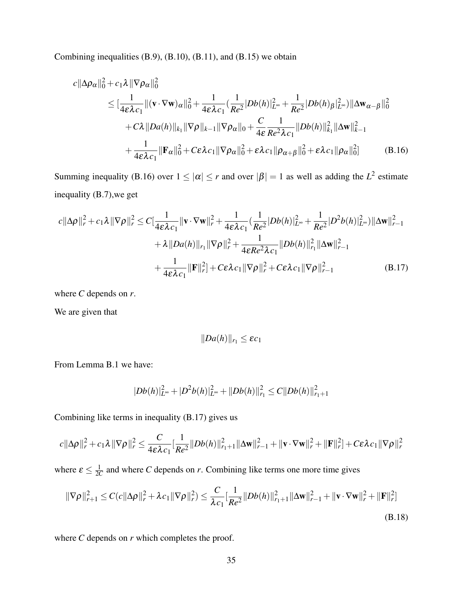Combining inequalities (B.9), (B.10), (B.11), and (B.15) we obtain

$$
c||\Delta \rho_{\alpha}||_{0}^{2} + c_{1}\lambda ||\nabla \rho_{\alpha}||_{0}^{2}
$$
\n
$$
\leq \left[\frac{1}{4\varepsilon\lambda c_{1}}\|(\mathbf{v}\cdot\nabla\mathbf{w})_{\alpha}\|_{0}^{2} + \frac{1}{4\varepsilon\lambda c_{1}}\left(\frac{1}{Re^{2}}|Db(h)|_{L^{\infty}}^{2} + \frac{1}{Re^{2}}|Db(h)_{\beta}|_{L^{\infty}}^{2}\right)\|\Delta\mathbf{w}_{\alpha-\beta}\|_{0}^{2}
$$
\n
$$
+ C\lambda ||Da(h)||_{k_{1}}||\nabla \rho||_{k-1}||\nabla \rho_{\alpha}||_{0} + \frac{C}{4\varepsilon}\frac{1}{Re^{2}\lambda c_{1}}||Db(h)||_{k_{1}}^{2}||\Delta\mathbf{w}||_{k-1}^{2}
$$
\n
$$
+ \frac{1}{4\varepsilon\lambda c_{1}}||\mathbf{F}_{\alpha}||_{0}^{2} + C\varepsilon\lambda c_{1}||\nabla \rho_{\alpha}||_{0}^{2} + \varepsilon\lambda c_{1}||\rho_{\alpha+\beta}||_{0}^{2} + \varepsilon\lambda c_{1}||\rho_{\alpha}||_{0}^{2}] \qquad (B.16)
$$

Summing inequality (B.16) over  $1 \leq |\alpha| \leq r$  and over  $|\beta| = 1$  as well as adding the  $L^2$  estimate inequality (B.7),we get

$$
c\|\Delta\rho\|_{r}^{2} + c_{1}\lambda\|\nabla\rho\|_{r}^{2} \leq C\left[\frac{1}{4\varepsilon\lambda c_{1}}\|\mathbf{v}\cdot\nabla\mathbf{w}\|_{r}^{2} + \frac{1}{4\varepsilon\lambda c_{1}}\left(\frac{1}{Re^{2}}|Db(h)|_{L^{\infty}}^{2} + \frac{1}{Re^{2}}|D^{2}b(h)|_{L^{\infty}}^{2}\right)\|\Delta\mathbf{w}\|_{r-1}^{2} + \lambda\|Da(h)\|_{r_{1}}\|\nabla\rho\|_{r}^{2} + \frac{1}{4\varepsilon Re^{2}\lambda c_{1}}\|Db(h)\|_{r_{1}}^{2}\|\Delta\mathbf{w}\|_{r-1}^{2} + \frac{1}{4\varepsilon\lambda c_{1}}\|\mathbf{F}\|_{r}^{2}\right] + C\varepsilon\lambda c_{1}\|\nabla\rho\|_{r}^{2} + C\varepsilon\lambda c_{1}\|\nabla\rho\|_{r-1}^{2}
$$
\n(B.17)

where *C* depends on *r*.

We are given that

$$
||Da(h)||_{r_1} \leq \varepsilon c_1
$$

From Lemma B.1 we have:

$$
||Db(h)||_{L^{\infty}}^{2}+||D^{2}b(h)||_{L^{\infty}}^{2}+||Db(h)||_{r_{1}}^{2}\leq C||Db(h)||_{r_{1}+1}^{2}
$$

Combining like terms in inequality (B.17) gives us

$$
c\|\Delta\rho\|_r^2 + c_1\lambda \|\nabla\rho\|_r^2 \leq \frac{C}{4\varepsilon\lambda c_1} \frac{1}{\vert Re^2\vert\vert Db(h)\vert\vert_{r_1+1}^2 \|\Delta\mathbf{w}\|_{r-1}^2 + \|\mathbf{v}\cdot\nabla\mathbf{w}\|_r^2 + \|\mathbf{F}\|_r^2] + C\varepsilon\lambda c_1 \|\nabla\rho\|_r^2
$$

where  $\varepsilon \leq \frac{1}{20}$  $\frac{1}{2C}$  and where *C* depends on *r*. Combining like terms one more time gives

$$
\|\nabla \rho\|_{r+1}^2 \le C(c\|\Delta \rho\|_r^2 + \lambda c_1 \|\nabla \rho\|_r^2) \le \frac{C}{\lambda c_1} \frac{1}{Re^2} \|Db(h)\|_{r_1+1}^2 \|\Delta \mathbf{w}\|_{r-1}^2 + \|\mathbf{v} \cdot \nabla \mathbf{w}\|_r^2 + \|\mathbf{F}\|_r^2]
$$
\n(B.18)

where *C* depends on *r* which completes the proof.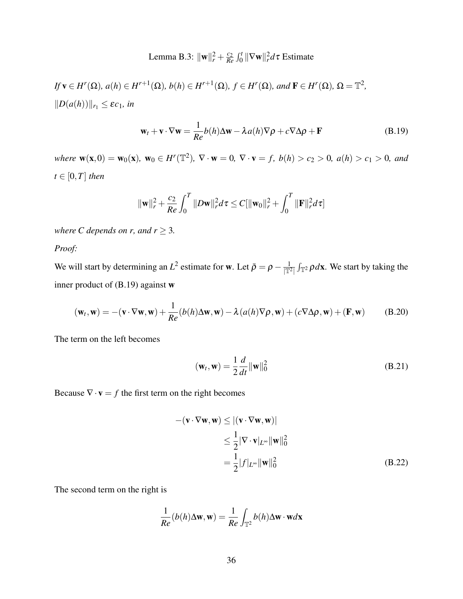#### Lemma B.3:  $\|\mathbf{w}\|_{r}^{2} + \frac{c_{2}}{R_{e}}$  $\frac{c_2}{Re} \int_0^t \|\nabla \mathbf{w}\|_r^2 d\tau$  Estimate

 $If \mathbf{v} \in H^r(\Omega), a(h) \in H^{r+1}(\Omega), b(h) \in H^{r+1}(\Omega), f \in H^r(\Omega), and \mathbf{F} \in H^r(\Omega), \Omega = \mathbb{T}^2,$  $||D(a(h))||_{r_1} \leq \varepsilon c_1$ *, in* 

$$
\mathbf{w}_t + \mathbf{v} \cdot \nabla \mathbf{w} = \frac{1}{Re} b(h) \Delta \mathbf{w} - \lambda a(h) \nabla \rho + c \nabla \Delta \rho + \mathbf{F}
$$
 (B.19)

 $where \mathbf{w}(\mathbf{x},0) = \mathbf{w}_0(\mathbf{x}), \mathbf{w}_0 \in H^r(\mathbb{T}^2), \ \nabla \cdot \mathbf{w} = 0, \ \nabla \cdot \mathbf{v} = f, \ b(h) > c_2 > 0, \ a(h) > c_1 > 0, \ and$  $t \in [0, T]$  *then* 

$$
\|\mathbf{w}\|_{r}^{2} + \frac{c_{2}}{Re} \int_{0}^{T} \|D\mathbf{w}\|_{r}^{2} d\tau \leq C \|\mathbf{w}_{0}\|_{r}^{2} + \int_{0}^{T} \|\mathbf{F}\|_{r}^{2} d\tau
$$

*where C depends on r, and*  $r \geq 3$ *.* 

*Proof:*

We will start by determining an  $L^2$  estimate for w. Let  $\bar{\rho} = \rho - \frac{1}{|\mathbb{T}^2|} \int_{\mathbb{T}^2} \rho d\mathbf{x}$ . We start by taking the inner product of (B.19) against w

$$
(\mathbf{w}_t, \mathbf{w}) = -(\mathbf{v} \cdot \nabla \mathbf{w}, \mathbf{w}) + \frac{1}{Re} (b(h)\Delta \mathbf{w}, \mathbf{w}) - \lambda (a(h)\nabla \rho, \mathbf{w}) + (c\nabla \Delta \rho, \mathbf{w}) + (\mathbf{F}, \mathbf{w})
$$
(B.20)

The term on the left becomes

$$
(\mathbf{w}_t, \mathbf{w}) = \frac{1}{2} \frac{d}{dt} ||\mathbf{w}||_0^2
$$
 (B.21)

Because  $\nabla \cdot \mathbf{v} = f$  the first term on the right becomes

$$
-(\mathbf{v} \cdot \nabla \mathbf{w}, \mathbf{w}) \le |(\mathbf{v} \cdot \nabla \mathbf{w}, \mathbf{w})|
$$
  
\n
$$
\le \frac{1}{2} |\nabla \cdot \mathbf{v}|_{L^{\infty}} ||\mathbf{w}||_0^2
$$
  
\n
$$
= \frac{1}{2} |f|_{L^{\infty}} ||\mathbf{w}||_0^2
$$
 (B.22)

The second term on the right is

$$
\frac{1}{Re}(b(h)\Delta \mathbf{w}, \mathbf{w}) = \frac{1}{Re} \int_{\mathbb{T}^2} b(h) \Delta \mathbf{w} \cdot \mathbf{w} d\mathbf{x}
$$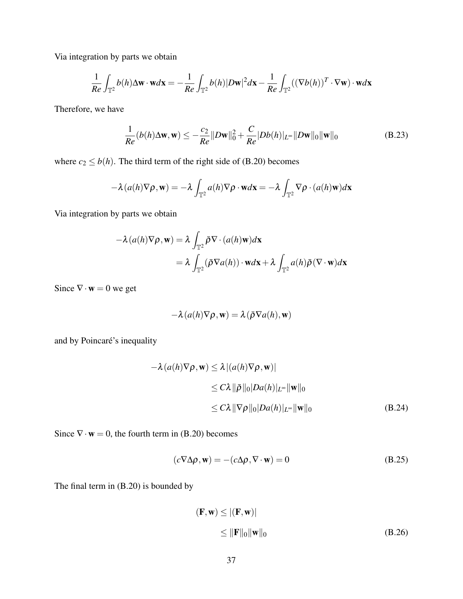Via integration by parts we obtain

$$
\frac{1}{Re} \int_{\mathbb{T}^2} b(h) \Delta \mathbf{w} \cdot \mathbf{w} d\mathbf{x} = -\frac{1}{Re} \int_{\mathbb{T}^2} b(h) |D\mathbf{w}|^2 d\mathbf{x} - \frac{1}{Re} \int_{\mathbb{T}^2} ((\nabla b(h))^T \cdot \nabla \mathbf{w}) \cdot \mathbf{w} d\mathbf{x}
$$

Therefore, we have

$$
\frac{1}{Re}(b(h)\Delta \mathbf{w}, \mathbf{w}) \le -\frac{c_2}{Re}||D\mathbf{w}||_0^2 + \frac{C}{Re}|Db(h)|_{L^\infty}||D\mathbf{w}||_0 \|\mathbf{w}\|_0
$$
\n(B.23)

where  $c_2 \leq b(h)$ . The third term of the right side of (B.20) becomes

$$
-\lambda(a(h)\nabla\rho,\mathbf{w}) = -\lambda \int_{\mathbb{T}^2} a(h)\nabla\rho \cdot \mathbf{w}d\mathbf{x} = -\lambda \int_{\mathbb{T}^2} \nabla\rho \cdot (a(h)\mathbf{w})d\mathbf{x}
$$

Via integration by parts we obtain

$$
-\lambda(a(h)\nabla\rho,\mathbf{w}) = \lambda \int_{\mathbb{T}^2} \bar{\rho}\nabla \cdot (a(h)\mathbf{w})d\mathbf{x}
$$
  
=  $\lambda \int_{\mathbb{T}^2} (\bar{\rho}\nabla a(h)) \cdot \mathbf{w}d\mathbf{x} + \lambda \int_{\mathbb{T}^2} a(h)\bar{\rho}(\nabla \cdot \mathbf{w})d\mathbf{x}$ 

Since  $\nabla \cdot \mathbf{w} = 0$  we get

$$
-\lambda(a(h)\nabla\rho,\mathbf{w})=\lambda(\bar{\rho}\nabla a(h),\mathbf{w})
$$

and by Poincaré's inequality

$$
-\lambda(a(h)\nabla\rho, \mathbf{w}) \le \lambda |(a(h)\nabla\rho, \mathbf{w})|
$$
  
\n
$$
\le C\lambda ||\bar{\rho}||_0 |Da(h)|_{L^{\infty}} ||\mathbf{w}||_0
$$
  
\n
$$
\le C\lambda ||\nabla\rho||_0 |Da(h)|_{L^{\infty}} ||\mathbf{w}||_0
$$
 (B.24)

Since  $\nabla \cdot \mathbf{w} = 0$ , the fourth term in (B.20) becomes

$$
(c\nabla \Delta \rho, \mathbf{w}) = -(c\Delta \rho, \nabla \cdot \mathbf{w}) = 0
$$
 (B.25)

The final term in (B.20) is bounded by

$$
(\mathbf{F}, \mathbf{w}) \le |(\mathbf{F}, \mathbf{w})|
$$
  
\n
$$
\le ||\mathbf{F}||_0 ||\mathbf{w}||_0
$$
 (B.26)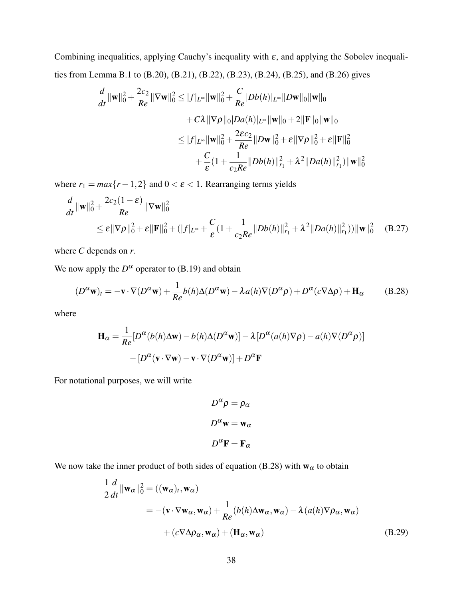Combining inequalities, applying Cauchy's inequality with  $\varepsilon$ , and applying the Sobolev inequalities from Lemma B.1 to (B.20), (B.21), (B.22), (B.23), (B.24), (B.25), and (B.26) gives

$$
\frac{d}{dt} \|\mathbf{w}\|_{0}^{2} + \frac{2c_{2}}{Re} \|\nabla \mathbf{w}\|_{0}^{2} \leq |f|_{L^{\infty}} \|\mathbf{w}\|_{0}^{2} + \frac{C}{Re} |Db(h)|_{L^{\infty}} ||D\mathbf{w}\|_{0} \|\mathbf{w}\|_{0}
$$
\n
$$
+ C\lambda \|\nabla \rho\|_{0} |Da(h)|_{L^{\infty}} \|\mathbf{w}\|_{0} + 2 \|\mathbf{F}\|_{0} \|\mathbf{w}\|_{0}
$$
\n
$$
\leq |f|_{L^{\infty}} \|\mathbf{w}\|_{0}^{2} + \frac{2\epsilon c_{2}}{Re} ||D\mathbf{w}||_{0}^{2} + \epsilon \|\nabla \rho\|_{0}^{2} + \epsilon \|\mathbf{F}\|_{0}^{2}
$$
\n
$$
+ \frac{C}{\epsilon} (1 + \frac{1}{c_{2}Re} ||Db(h)||_{r_{1}}^{2} + \lambda^{2} ||Da(h)||_{r_{1}}^{2}) \|\mathbf{w}\|_{0}^{2}
$$

where  $r_1 = max\{r - 1, 2\}$  and  $0 < \varepsilon < 1$ . Rearranging terms yields

$$
\frac{d}{dt} ||\mathbf{w}||_0^2 + \frac{2c_2(1-\varepsilon)}{Re} ||\nabla \mathbf{w}||_0^2
$$
\n
$$
\leq \varepsilon ||\nabla \rho||_0^2 + \varepsilon ||\mathbf{F}||_0^2 + (|f|_{L^{\infty}} + \frac{C}{\varepsilon}(1 + \frac{1}{c_2 Re}||Db(h)||_{r_1}^2 + \lambda^2 ||Da(h)||_{r_1}^2)) ||\mathbf{w}||_0^2 \quad (B.27)
$$

where *C* depends on *r*.

We now apply the  $D^{\alpha}$  operator to (B.19) and obtain

$$
(D^{\alpha}\mathbf{w})_t = -\mathbf{v} \cdot \nabla (D^{\alpha}\mathbf{w}) + \frac{1}{Re} b(h) \Delta (D^{\alpha}\mathbf{w}) - \lambda a(h) \nabla (D^{\alpha}\rho) + D^{\alpha}(c \nabla \Delta \rho) + \mathbf{H}_{\alpha}
$$
 (B.28)

where

$$
\mathbf{H}_{\alpha} = \frac{1}{Re} [D^{\alpha}(b(h)\Delta \mathbf{w}) - b(h)\Delta(D^{\alpha}\mathbf{w})] - \lambda [D^{\alpha}(a(h)\nabla \rho) - a(h)\nabla(D^{\alpha}\rho)]
$$

$$
- [D^{\alpha}(\mathbf{v} \cdot \nabla \mathbf{w}) - \mathbf{v} \cdot \nabla(D^{\alpha}\mathbf{w})] + D^{\alpha}\mathbf{F}
$$

For notational purposes, we will write

$$
D^{\alpha} \rho = \rho_{\alpha}
$$

$$
D^{\alpha} \mathbf{w} = \mathbf{w}_{\alpha}
$$

$$
D^{\alpha} \mathbf{F} = \mathbf{F}_{\alpha}
$$

We now take the inner product of both sides of equation (B.28) with  $w_\alpha$  to obtain

$$
\frac{1}{2} \frac{d}{dt} ||\mathbf{w}_{\alpha}||_{0}^{2} = ((\mathbf{w}_{\alpha})_{t}, \mathbf{w}_{\alpha})
$$
\n
$$
= -(\mathbf{v} \cdot \nabla \mathbf{w}_{\alpha}, \mathbf{w}_{\alpha}) + \frac{1}{Re} (b(h)\Delta \mathbf{w}_{\alpha}, \mathbf{w}_{\alpha}) - \lambda (a(h)\nabla \rho_{\alpha}, \mathbf{w}_{\alpha})
$$
\n
$$
+ (c \nabla \Delta \rho_{\alpha}, \mathbf{w}_{\alpha}) + (\mathbf{H}_{\alpha}, \mathbf{w}_{\alpha})
$$
\n(B.29)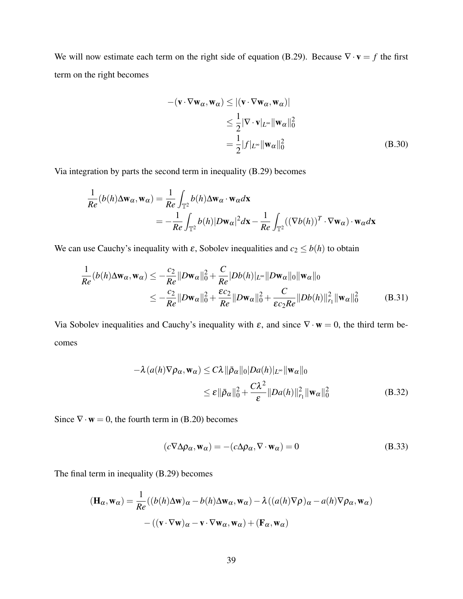We will now estimate each term on the right side of equation (B.29). Because  $\nabla \cdot \mathbf{v} = f$  the first term on the right becomes

$$
-(\mathbf{v} \cdot \nabla \mathbf{w}_{\alpha}, \mathbf{w}_{\alpha}) \le |(\mathbf{v} \cdot \nabla \mathbf{w}_{\alpha}, \mathbf{w}_{\alpha})|
$$
  
\n
$$
\le \frac{1}{2} |\nabla \cdot \mathbf{v}|_{L^{\infty}} ||\mathbf{w}_{\alpha}||_{0}^{2}
$$
  
\n
$$
= \frac{1}{2} |f|_{L^{\infty}} ||\mathbf{w}_{\alpha}||_{0}^{2}
$$
 (B.30)

Via integration by parts the second term in inequality (B.29) becomes

$$
\frac{1}{Re}(b(h)\Delta \mathbf{w}_{\alpha}, \mathbf{w}_{\alpha}) = \frac{1}{Re} \int_{\mathbb{T}^2} b(h) \Delta \mathbf{w}_{\alpha} \cdot \mathbf{w}_{\alpha} d\mathbf{x}
$$
  
= 
$$
-\frac{1}{Re} \int_{\mathbb{T}^2} b(h) |D\mathbf{w}_{\alpha}|^2 d\mathbf{x} - \frac{1}{Re} \int_{\mathbb{T}^2} ((\nabla b(h))^T \cdot \nabla \mathbf{w}_{\alpha}) \cdot \mathbf{w}_{\alpha} d\mathbf{x}
$$

We can use Cauchy's inequality with  $\varepsilon$ , Sobolev inequalities and  $c_2 \leq b(h)$  to obtain

$$
\frac{1}{Re}(b(h)\Delta \mathbf{w}_{\alpha}, \mathbf{w}_{\alpha}) \le -\frac{c_2}{Re}||D\mathbf{w}_{\alpha}||_0^2 + \frac{C}{Re}|Db(h)|_{L^{\infty}}||D\mathbf{w}_{\alpha}||_0 ||\mathbf{w}_{\alpha}||_0
$$
\n
$$
\le -\frac{c_2}{Re}||D\mathbf{w}_{\alpha}||_0^2 + \frac{\varepsilon c_2}{Re}||D\mathbf{w}_{\alpha}||_0^2 + \frac{C}{\varepsilon c_2 Re}||Db(h)||_{r_1}^2 ||\mathbf{w}_{\alpha}||_0^2 \tag{B.31}
$$

Via Sobolev inequalities and Cauchy's inequality with  $\varepsilon$ , and since  $\nabla \cdot \mathbf{w} = 0$ , the third term becomes

$$
-\lambda (a(h)\nabla \rho_{\alpha}, \mathbf{w}_{\alpha}) \le C\lambda ||\bar{\rho}_{\alpha}||_{0} |Da(h)|_{L^{\infty}} ||\mathbf{w}_{\alpha}||_{0}
$$
  

$$
\le \varepsilon ||\bar{\rho}_{\alpha}||_{0}^{2} + \frac{C\lambda^{2}}{\varepsilon} ||Da(h)||_{r_{1}}^{2} ||\mathbf{w}_{\alpha}||_{0}^{2}
$$
(B.32)

Since  $\nabla \cdot \mathbf{w} = 0$ , the fourth term in (B.20) becomes

$$
(c\nabla \Delta \rho_{\alpha}, \mathbf{w}_{\alpha}) = -(c\Delta \rho_{\alpha}, \nabla \cdot \mathbf{w}_{\alpha}) = 0
$$
 (B.33)

The final term in inequality (B.29) becomes

$$
(\mathbf{H}_{\alpha}, \mathbf{w}_{\alpha}) = \frac{1}{Re}((b(h)\Delta \mathbf{w})_{\alpha} - b(h)\Delta \mathbf{w}_{\alpha}, \mathbf{w}_{\alpha}) - \lambda((a(h)\nabla \rho)_{\alpha} - a(h)\nabla \rho_{\alpha}, \mathbf{w}_{\alpha})
$$

$$
-((\mathbf{v} \cdot \nabla \mathbf{w})_{\alpha} - \mathbf{v} \cdot \nabla \mathbf{w}_{\alpha}, \mathbf{w}_{\alpha}) + (\mathbf{F}_{\alpha}, \mathbf{w}_{\alpha})
$$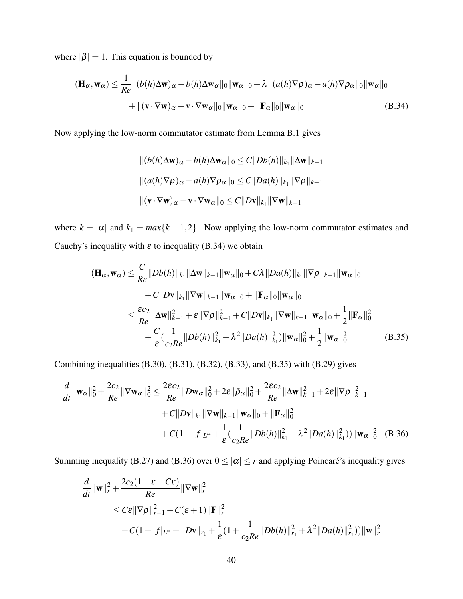where  $|\beta| = 1$ . This equation is bounded by

$$
(\mathbf{H}_{\alpha}, \mathbf{w}_{\alpha}) \leq \frac{1}{Re} ||(b(h)\Delta \mathbf{w})_{\alpha} - b(h)\Delta \mathbf{w}_{\alpha}||_{0} ||\mathbf{w}_{\alpha}||_{0} + \lambda ||(a(h)\nabla \rho)_{\alpha} - a(h)\nabla \rho_{\alpha}||_{0} ||\mathbf{w}_{\alpha}||_{0} + ||(\mathbf{v} \cdot \nabla \mathbf{w})_{\alpha} - \mathbf{v} \cdot \nabla \mathbf{w}_{\alpha}||_{0} ||\mathbf{w}_{\alpha}||_{0} + ||\mathbf{F}_{\alpha}||_{0} ||\mathbf{w}_{\alpha}||_{0}
$$
(B.34)

Now applying the low-norm commutator estimate from Lemma B.1 gives

$$
||(b(h)\Delta \mathbf{w})_{\alpha} - b(h)\Delta \mathbf{w}_{\alpha}||_0 \le C||Db(h)||_{k_1}||\Delta \mathbf{w}||_{k-1}
$$
  

$$
||(a(h)\nabla \rho)_{\alpha} - a(h)\nabla \rho_{\alpha}||_0 \le C||Da(h)||_{k_1}||\nabla \rho||_{k-1}
$$
  

$$
||(\mathbf{v} \cdot \nabla \mathbf{w})_{\alpha} - \mathbf{v} \cdot \nabla \mathbf{w}_{\alpha}||_0 \le C||D\mathbf{v}||_{k_1}||\nabla \mathbf{w}||_{k-1}
$$

where  $k = |\alpha|$  and  $k_1 = max\{k - 1, 2\}$ . Now applying the low-norm commutator estimates and Cauchy's inequality with  $\varepsilon$  to inequality (B.34) we obtain

$$
(\mathbf{H}_{\alpha}, \mathbf{w}_{\alpha}) \leq \frac{C}{Re} ||Db(h)||_{k_{1}} ||\Delta \mathbf{w}||_{k-1} ||\mathbf{w}_{\alpha}||_{0} + C\lambda ||Da(h)||_{k_{1}} ||\nabla \rho||_{k-1} ||\mathbf{w}_{\alpha}||_{0}
$$
  
+  $C ||D\mathbf{v}||_{k_{1}} ||\nabla \mathbf{w}||_{k-1} ||\mathbf{w}_{\alpha}||_{0} + ||\mathbf{F}_{\alpha}||_{0} ||\mathbf{w}_{\alpha}||_{0}$   
 $\leq \frac{\varepsilon c_{2}}{Re} ||\Delta \mathbf{w}||_{k-1}^{2} + \varepsilon ||\nabla \rho||_{k-1}^{2} + C ||D\mathbf{v}||_{k_{1}} ||\nabla \mathbf{w}||_{k-1} ||\mathbf{w}_{\alpha}||_{0} + \frac{1}{2} ||\mathbf{F}_{\alpha}||_{0}^{2}$   
+  $\frac{C}{\varepsilon} (\frac{1}{c_{2}Re} ||Db(h)||_{k_{1}}^{2} + \lambda^{2} ||Da(h)||_{k_{1}}^{2}) ||\mathbf{w}_{\alpha}||_{0}^{2} + \frac{1}{2} ||\mathbf{w}_{\alpha}||_{0}^{2}$  (B.35)

Combining inequalities (B.30), (B.31), (B.32), (B.33), and (B.35) with (B.29) gives

$$
\frac{d}{dt} \|\mathbf{w}_{\alpha}\|_{0}^{2} + \frac{2c_{2}}{Re} \|\nabla \mathbf{w}_{\alpha}\|_{0}^{2} \leq \frac{2\epsilon c_{2}}{Re} \|D\mathbf{w}_{\alpha}\|_{0}^{2} + 2\epsilon \|\bar{\rho}_{\alpha}\|_{0}^{2} + \frac{2\epsilon c_{2}}{Re} \|\Delta \mathbf{w}\|_{k-1}^{2} + 2\epsilon \|\nabla \rho\|_{k-1}^{2} \n+ C \|D\mathbf{v}\|_{k_{1}} \|\nabla \mathbf{w}\|_{k-1} \|\mathbf{w}_{\alpha}\|_{0} + \|\mathbf{F}_{\alpha}\|_{0}^{2} \n+ C(1 + |f|_{L^{\infty}} + \frac{1}{\epsilon} (\frac{1}{c_{2}Re} \|Db(h)\|_{k_{1}}^{2} + \lambda^{2} \|Da(h)\|_{k_{1}}^{2})) \|\mathbf{w}_{\alpha}\|_{0}^{2}
$$
\n(B.36)

Summing inequality (B.27) and (B.36) over  $0 \le |\alpha| \le r$  and applying Poincaré's inequality gives

$$
\frac{d}{dt} ||\mathbf{w}||_r^2 + \frac{2c_2(1 - \varepsilon - C\varepsilon)}{Re} ||\nabla \mathbf{w}||_r^2
$$
\n
$$
\leq C\varepsilon ||\nabla \rho||_{r-1}^2 + C(\varepsilon + 1) ||\mathbf{F}||_r^2
$$
\n
$$
+ C(1 + |f|_{L^{\infty}} + ||D\mathbf{v}||_{r_1} + \frac{1}{\varepsilon}(1 + \frac{1}{c_2 Re}||Db(h)||_{r_1}^2 + \lambda^2 ||Da(h)||_{r_1}^2)) ||\mathbf{w}||_r^2
$$